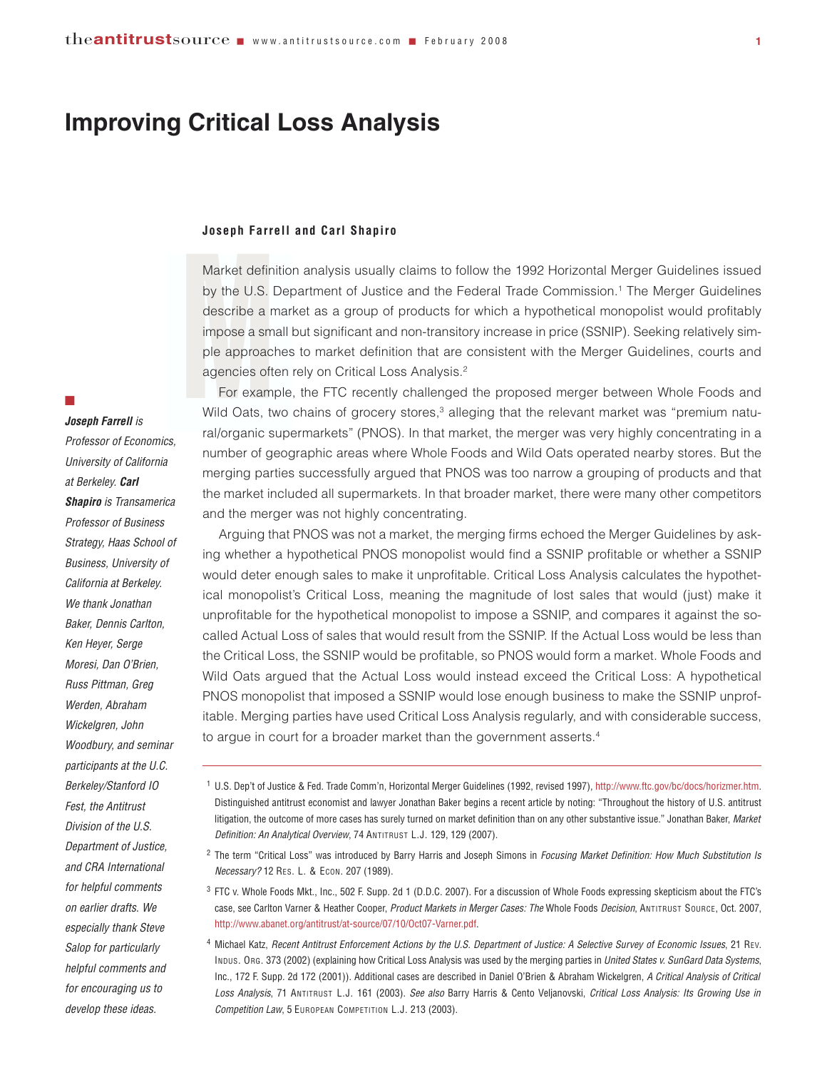## **Improving Critical Loss Analysis**

#### **Joseph Farrell and Carl Shapiro**

Joseph Farre<br>Market defini<br>by the U.S. I<br>describe a m<br>impose a sma<br>ple approach<br>agencies ofter<br>For examp<br>Wild Oats, tv Market definition analysis usually claims to follow the 1992 Horizontal Merger Guidelines issued by the U.S. Department of Justice and the Federal Trade Commission.1 The Merger Guidelines describe a market as a group of products for which a hypothetical monopolist would profitably impose a small but significant and non-transitory increase in price (SSNIP). Seeking relatively simple approaches to market definition that are consistent with the Merger Guidelines, courts and agencies often rely on Critical Loss Analysis.2

For example, the FTC recently challenged the proposed merger between Whole Foods and Wild Oats, two chains of grocery stores,<sup>3</sup> alleging that the relevant market was "premium natural/organic supermarkets" (PNOS). In that market, the merger was very highly concentrating in a number of geographic areas where Whole Foods and Wild Oats operated nearby stores. But the merging parties successfully argued that PNOS was too narrow a grouping of products and that the market included all supermarkets. In that broader market, there were many other competitors and the merger was not highly concentrating.

Arguing that PNOS was not a market, the merging firms echoed the Merger Guidelines by asking whether a hypothetical PNOS monopolist would find a SSNIP profitable or whether a SSNIP would deter enough sales to make it unprofitable. Critical Loss Analysis calculates the hypothetical monopolist's Critical Loss, meaning the magnitude of lost sales that would (just) make it unprofitable for the hypothetical monopolist to impose a SSNIP, and compares it against the socalled Actual Loss of sales that would result from the SSNIP. If the Actual Loss would be less than the Critical Loss, the SSNIP would be profitable, so PNOS would form a market. Whole Foods and Wild Oats argued that the Actual Loss would instead exceed the Critical Loss: A hypothetical PNOS monopolist that imposed a SSNIP would lose enough business to make the SSNIP unprofitable. Merging parties have used Critical Loss Analysis regularly, and with considerable success, to argue in court for a broader market than the government asserts.<sup>4</sup>

#### $\mathbb{R}^2$

*Joseph Farrell is Professor of Economics, University of California at Berkeley. Carl Shapiro is Transamerica Professor of Business Strategy, Haas School of Business, University of California at Berkeley. We thank Jonathan Baker, Dennis Carlton, Ken Heyer, Serge Moresi, Dan O'Brien, Russ Pittman, Greg Werden, Abraham Wickelgren, John Woodbury, and seminar participants at the U.C. Berkeley/Stanford IO Fest, the Antitrust Division of the U.S. Department of Justice, and CRA International for helpful comments on earlier drafts. We especially thank Steve Salop for particularly helpful comments and for encouraging us to develop these ideas.* 

<sup>1</sup> U.S. Dep't of Justice & Fed. Trade Comm'n, Horizontal Merger Guidelines (1992, revised 1997), <http://www.ftc.gov/bc/docs/horizmer.htm>. Distinguished antitrust economist and lawyer Jonathan Baker begins a recent article by noting: "Throughout the history of U.S. antitrust litigation, the outcome of more cases has surely turned on market definition than on any other substantive issue." Jonathan Baker, *Market Definition: An Analytical Overview*, 74 ANTITRUST L.J. 129, 129 (2007).

<sup>2</sup> The term "Critical Loss" was introduced by Barry Harris and Joseph Simons in *Focusing Market Definition: How Much Substitution Is Necessary?* 12 RES. L. & ECON. 207 (1989).

<sup>3</sup> FTC v. Whole Foods Mkt., Inc., 502 F. Supp. 2d 1 (D.D.C. 2007). For a discussion of Whole Foods expressing skepticism about the FTC's case, see Carlton Varner & Heather Cooper, *Product Markets in Merger Cases: The* Whole Foods *Decision*, ANTITRUST SOURCE, Oct. 2007, [http://www.abanet.org/antitrust/at-source/07/10/Oct07-Varner.pdf.](http://www.abanet.org/antitrust/at-source/07/10/Oct07-Varner.pdf)

<sup>4</sup> Michael Katz, *Recent Antitrust Enforcement Actions by the U.S. Department of Justice: A Selective Survey of Economic Issues*, 21 REV. INDUS. ORG. 373 (2002) (explaining how Critical Loss Analysis was used by the merging parties in *United States v. SunGard Data Systems*, Inc., 172 F. Supp. 2d 172 (2001)). Additional cases are described in Daniel O'Brien & Abraham Wickelgren, *A Critical Analysis of Critical Loss Analysis*, 71 ANTITRUST L.J. 161 (2003). *See also* Barry Harris & Cento Veljanovski, *Critical Loss Analysis: Its Growing Use in Competition Law*, 5 EUROPEAN COMPETITION L.J. 213 (2003).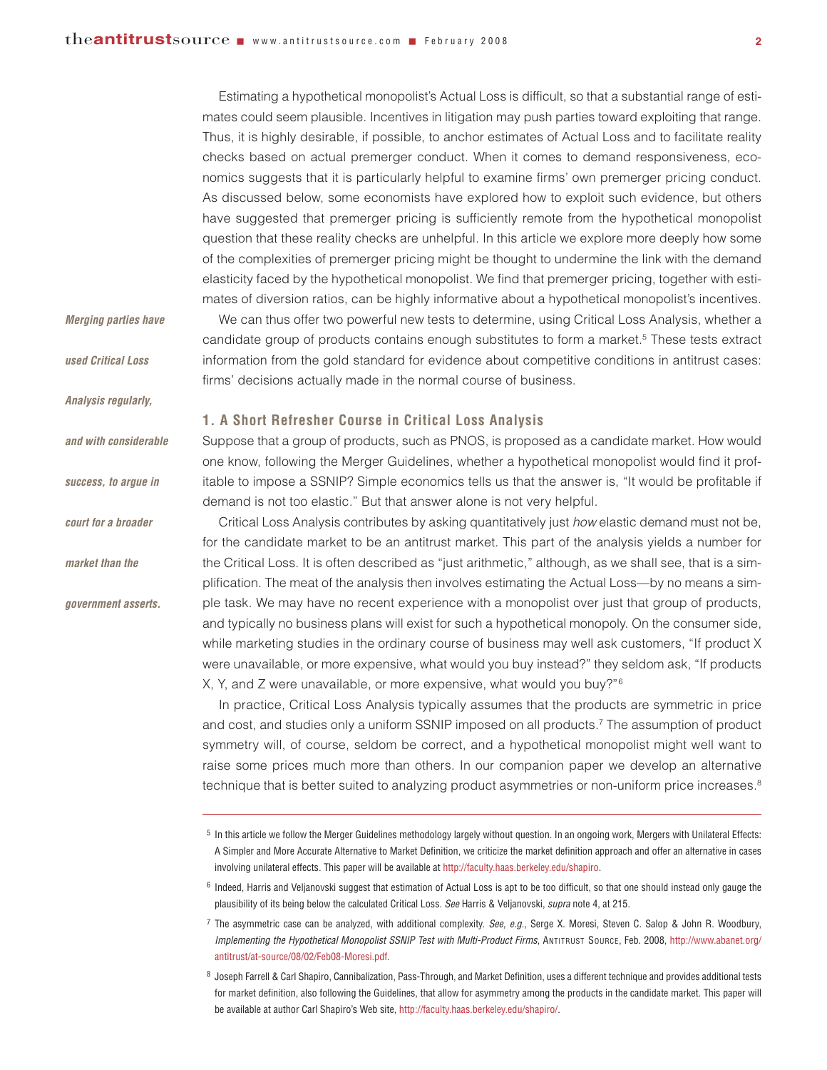Estimating a hypothetical monopolist's Actual Loss is difficult, so that a substantial range of estimates could seem plausible. Incentives in litigation may push parties toward exploiting that range. Thus, it is highly desirable, if possible, to anchor estimates of Actual Loss and to facilitate reality checks based on actual premerger conduct. When it comes to demand responsiveness, economics suggests that it is particularly helpful to examine firms' own premerger pricing conduct. As discussed below, some economists have explored how to exploit such evidence, but others have suggested that premerger pricing is sufficiently remote from the hypothetical monopolist question that these reality checks are unhelpful. In this article we explore more deeply how some of the complexities of premerger pricing might be thought to undermine the link with the demand elasticity faced by the hypothetical monopolist. We find that premerger pricing, together with estimates of diversion ratios, can be highly informative about a hypothetical monopolist's incentives.

We can thus offer two powerful new tests to determine, using Critical Loss Analysis, whether a candidate group of products contains enough substitutes to form a market.<sup>5</sup> These tests extract information from the gold standard for evidence about competitive conditions in antitrust cases:

# *Merging parties have*

*used Critical Loss*

*Analysis regularly,* 

*and with considerable*

*success, to argue in*

*court for a broader*

*market than the* 

*government asserts.*

**1. A Short Refresher Course in Critical Loss Analysis**

Suppose that a group of products, such as PNOS, is proposed as a candidate market. How would one know, following the Merger Guidelines, whether a hypothetical monopolist would find it profitable to impose a SSNIP? Simple economics tells us that the answer is, "It would be profitable if demand is not too elastic." But that answer alone is not very helpful.

firms' decisions actually made in the normal course of business.

Critical Loss Analysis contributes by asking quantitatively just *how* elastic demand must not be, for the candidate market to be an antitrust market. This part of the analysis yields a number for the Critical Loss. It is often described as "just arithmetic," although, as we shall see, that is a simplification. The meat of the analysis then involves estimating the Actual Loss—by no means a simple task. We may have no recent experience with a monopolist over just that group of products, and typically no business plans will exist for such a hypothetical monopoly. On the consumer side, while marketing studies in the ordinary course of business may well ask customers, "If product X were unavailable, or more expensive, what would you buy instead?" they seldom ask, "If products X, Y, and Z were unavailable, or more expensive, what would you buy?"6

In practice, Critical Loss Analysis typically assumes that the products are symmetric in price and cost, and studies only a uniform SSNIP imposed on all products.<sup>7</sup> The assumption of product symmetry will, of course, seldom be correct, and a hypothetical monopolist might well want to raise some prices much more than others. In our companion paper we develop an alternative technique that is better suited to analyzing product asymmetries or non-uniform price increases.<sup>8</sup>

<sup>7</sup> The asymmetric case can be analyzed, with additional complexity. *See, e.g.*, Serge X. Moresi, Steven C. Salop & John R. Woodbury, *Implementing the Hypothetical Monopolist SSNIP Test with Multi-Product Firms*, ANTITRUST SOURCE, Feb. 2008, [http://www.abanet.org/](http://www.abanet.org/antitrust/at-source/08/02/Feb08-Moresi.pdf) [antitrust/at-source/08/02/Feb08-Moresi.pdf.](http://www.abanet.org/antitrust/at-source/08/02/Feb08-Moresi.pdf)

<sup>8</sup> Joseph Farrell & Carl Shapiro, Cannibalization, Pass-Through, and Market Definition, uses a different technique and provides additional tests for market definition, also following the Guidelines, that allow for asymmetry among the products in the candidate market. This paper will be available at author Carl Shapiro's Web site, [http://faculty.haas.berkeley.edu/shapiro/.](http://faculty.haas.berkeley.edu/shapiro/)

<sup>&</sup>lt;sup>5</sup> In this article we follow the Merger Guidelines methodology largely without question. In an ongoing work, Mergers with Unilateral Effects: A Simpler and More Accurate Alternative to Market Definition, we criticize the market definition approach and offer an alternative in cases involving unilateral effects. This paper will be available at [http://faculty.haas.berkeley.edu/shapiro.](http://faculty.haas.berkeley.edu/shapiro)

<sup>6</sup> Indeed, Harris and Veljanovski suggest that estimation of Actual Loss is apt to be too difficult, so that one should instead only gauge the plausibility of its being below the calculated Critical Loss. *See* Harris & Veljanovski, *supra* note 4, at 215.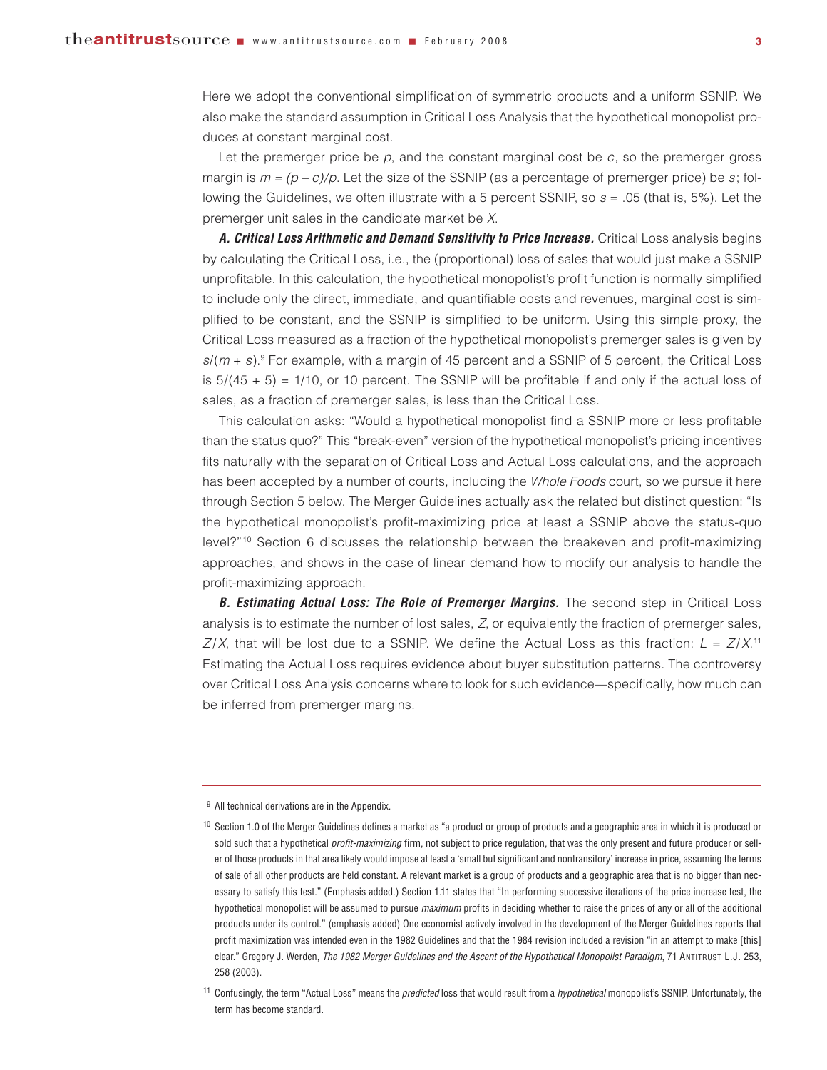Here we adopt the conventional simplification of symmetric products and a uniform SSNIP. We also make the standard assumption in Critical Loss Analysis that the hypothetical monopolist produces at constant marginal cost.

Let the premerger price be *p*, and the constant marginal cost be *c*, so the premerger gross margin is  $m = (p - c)/p$ . Let the size of the SSNIP (as a percentage of premerger price) be *s*; following the Guidelines, we often illustrate with a 5 percent SSNIP, so *s* = .05 (that is, 5%). Let the premerger unit sales in the candidate market be *X*.

*A. Critical Loss Arithmetic and Demand Sensitivity to Price Increase.* Critical Loss analysis begins by calculating the Critical Loss, i.e., the (proportional) loss of sales that would just make a SSNIP unprofitable. In this calculation, the hypothetical monopolist's profit function is normally simplified to include only the direct, immediate, and quantifiable costs and revenues, marginal cost is simplified to be constant, and the SSNIP is simplified to be uniform. Using this simple proxy, the Critical Loss measured as a fraction of the hypothetical monopolist's premerger sales is given by *s*/(*m* + *s*).9 For example, with a margin of 45 percent and a SSNIP of 5 percent, the Critical Loss is  $5/(45 + 5) = 1/10$ , or 10 percent. The SSNIP will be profitable if and only if the actual loss of sales, as a fraction of premerger sales, is less than the Critical Loss.

This calculation asks: "Would a hypothetical monopolist find a SSNIP more or less profitable than the status quo?" This "break-even" version of the hypothetical monopolist's pricing incentives fits naturally with the separation of Critical Loss and Actual Loss calculations, and the approach has been accepted by a number of courts, including the *Whole Foods* court, so we pursue it here through Section 5 below. The Merger Guidelines actually ask the related but distinct question: "Is the hypothetical monopolist's profit-maximizing price at least a SSNIP above the status-quo level?"10 Section 6 discusses the relationship between the breakeven and profit-maximizing approaches, and shows in the case of linear demand how to modify our analysis to handle the profit-maximizing approach.

*B. Estimating Actual Loss: The Role of Premerger Margins.* The second step in Critical Loss analysis is to estimate the number of lost sales, *Z*, or equivalently the fraction of premerger sales,  $Z/X$ , that will be lost due to a SSNIP. We define the Actual Loss as this fraction:  $L = Z/X$ .<sup>11</sup> Estimating the Actual Loss requires evidence about buyer substitution patterns. The controversy over Critical Loss Analysis concerns where to look for such evidence—specifically, how much can be inferred from premerger margins.

<sup>&</sup>lt;sup>9</sup> All technical derivations are in the Appendix.

 $10$  Section 1.0 of the Merger Guidelines defines a market as "a product or group of products and a geographic area in which it is produced or sold such that a hypothetical *profit-maximizing* firm, not subject to price regulation, that was the only present and future producer or seller of those products in that area likely would impose at least a 'small but significant and nontransitory' increase in price, assuming the terms of sale of all other products are held constant. A relevant market is a group of products and a geographic area that is no bigger than necessary to satisfy this test." (Emphasis added.) Section 1.11 states that "In performing successive iterations of the price increase test, the hypothetical monopolist will be assumed to pursue *maximum* profits in deciding whether to raise the prices of any or all of the additional products under its control." (emphasis added) One economist actively involved in the development of the Merger Guidelines reports that profit maximization was intended even in the 1982 Guidelines and that the 1984 revision included a revision "in an attempt to make [this] clear." Gregory J. Werden, *The 1982 Merger Guidelines and the Ascent of the Hypothetical Monopolist Paradigm*, 71 ANTITRUST L.J. 253, 258 (2003).

<sup>11</sup> Confusingly, the term "Actual Loss" means the *predicted* loss that would result from a *hypothetical* monopolist's SSNIP. Unfortunately, the term has become standard.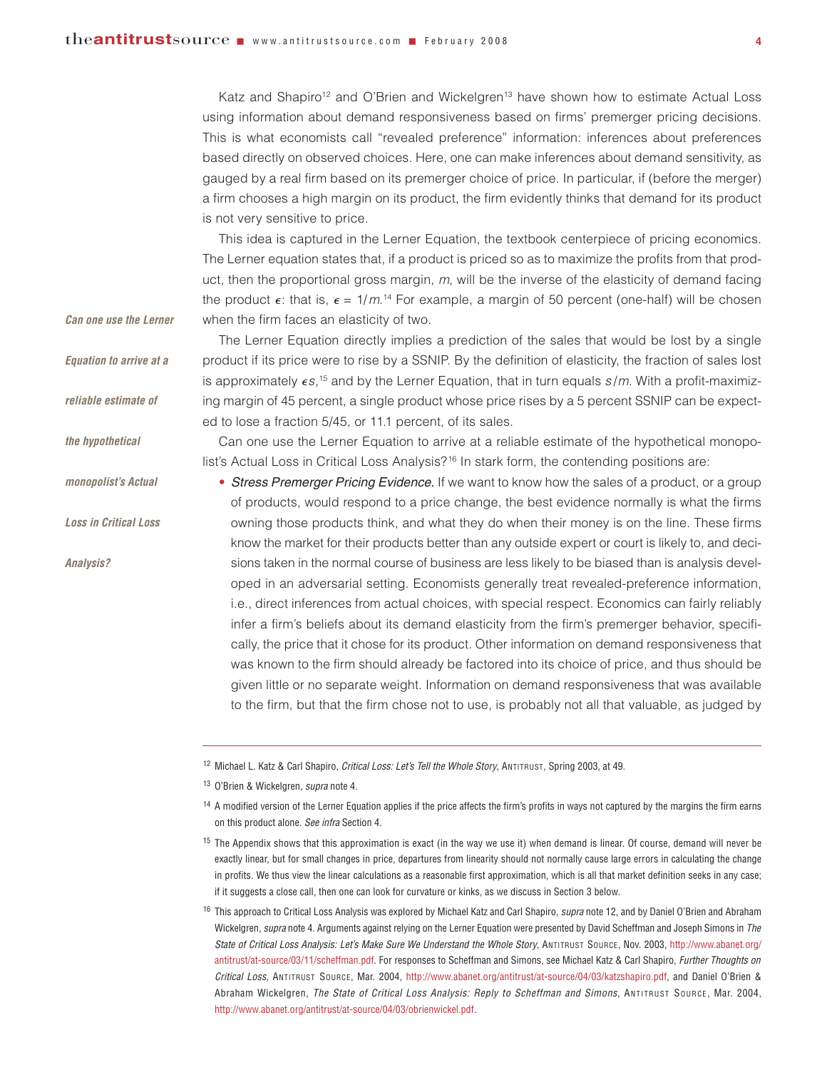*Can one use the Lerner*

*Equation to arrive at a*

*reliable estimate of* 

*monopolist's Actual*

*Loss in Critical Loss*

*Analysis?*

*the hypothetical*

Katz and Shapiro<sup>12</sup> and O'Brien and Wickelgren<sup>13</sup> have shown how to estimate Actual Loss using information about demand responsiveness based on firms' premerger pricing decisions. This is what economists call "revealed preference" information: inferences about preferences based directly on observed choices. Here, one can make inferences about demand sensitivity, as gauged by a real firm based on its premerger choice of price. In particular, if (before the merger) a firm chooses a high margin on its product, the firm evidently thinks that demand for its product is not very sensitive to price.

This idea is captured in the Lerner Equation, the textbook centerpiece of pricing economics. The Lerner equation states that, if a product is priced so as to maximize the profits from that product, then the proportional gross margin, *m*, will be the inverse of the elasticity of demand facing the product  $\epsilon$ : that is,  $\epsilon = 1/m$ .<sup>14</sup> For example, a margin of 50 percent (one-half) will be chosen when the firm faces an elasticity of two.

The Lerner Equation directly implies a prediction of the sales that would be lost by a single product if its price were to rise by a SSNIP. By the definition of elasticity, the fraction of sales lost is approximately  $\epsilon s$ ,<sup>15</sup> and by the Lerner Equation, that in turn equals  $s/m$ . With a profit-maximizing margin of 45 percent, a single product whose price rises by a 5 percent SSNIP can be expected to lose a fraction 5/45, or 11.1 percent, of its sales.

Can one use the Lerner Equation to arrive at a reliable estimate of the hypothetical monopolist's Actual Loss in Critical Loss Analysis?<sup>16</sup> In stark form, the contending positions are:

• *Stress Premerger Pricing Evidence.* If we want to know how the sales of a product, or a group of products, would respond to a price change, the best evidence normally is what the firms owning those products think, and what they do when their money is on the line. These firms know the market for their products better than any outside expert or court is likely to, and decisions taken in the normal course of business are less likely to be biased than is analysis developed in an adversarial setting. Economists generally treat revealed-preference information, i.e., direct inferences from actual choices, with special respect. Economics can fairly reliably infer a firm's beliefs about its demand elasticity from the firm's premerger behavior, specifically, the price that it chose for its product. Other information on demand responsiveness that was known to the firm should already be factored into its choice of price, and thus should be given little or no separate weight. Information on demand responsiveness that was available to the firm, but that the firm chose not to use, is probably not all that valuable, as judged by

<sup>12</sup> Michael L. Katz & Carl Shapiro, *Critical Loss: Let's Tell the Whole Story*, ANTITRUST, Spring 2003, at 49.

<sup>13</sup> O'Brien & Wickelgren, *supra* note 4.

<sup>14</sup> A modified version of the Lerner Equation applies if the price affects the firm's profits in ways not captured by the margins the firm earns on this product alone. *See infra* Section 4.

<sup>15</sup> The Appendix shows that this approximation is exact (in the way we use it) when demand is linear. Of course, demand will never be exactly linear, but for small changes in price, departures from linearity should not normally cause large errors in calculating the change in profits. We thus view the linear calculations as a reasonable first approximation, which is all that market definition seeks in any case; if it suggests a close call, then one can look for curvature or kinks, as we discuss in Section 3 below.

<sup>16</sup> This approach to Critical Loss Analysis was explored by Michael Katz and Carl Shapiro, *supra* note 12, and by Daniel O'Brien and Abraham Wickelgren, *supra* note 4. Arguments against relying on the Lerner Equation were presented by David Scheffman and Joseph Simons in *The State of Critical Loss Analysis: Let's Make Sure We Understand the Whole Story*, ANTITRUST SOURCE, Nov. 2003, [http://www.abanet.org/](http://www.abanet.org/antitrust/at-source/03/11/scheffman.pdf) [antitrust/at-source/03/11/scheffman.pdf.](http://www.abanet.org/antitrust/at-source/03/11/scheffman.pdf) For responses to Scheffman and Simons, see Michael Katz & Carl Shapiro, *Further Thoughts on Critical Loss*, ANTITRUST SOURCE, Mar. 2004, [http://www.abanet.org/antitrust/at-source/04/03/katzshapiro.pdf,](http://www.abanet.org/antitrust/at-source/04/03/katzshapiro.pdf) and Daniel O'Brien & Abraham Wickelgren, *The State of Critical Loss Analysis: Reply to Scheffman and Simons*, ANTITRUST SOURCE, Mar. 2004, [http://www.abanet.org/antitrust/at-source/04/03/obrienwickel.pdf.](http://www.abanet.org/antitrust/at-source/04/03/obrienwickel.pdf)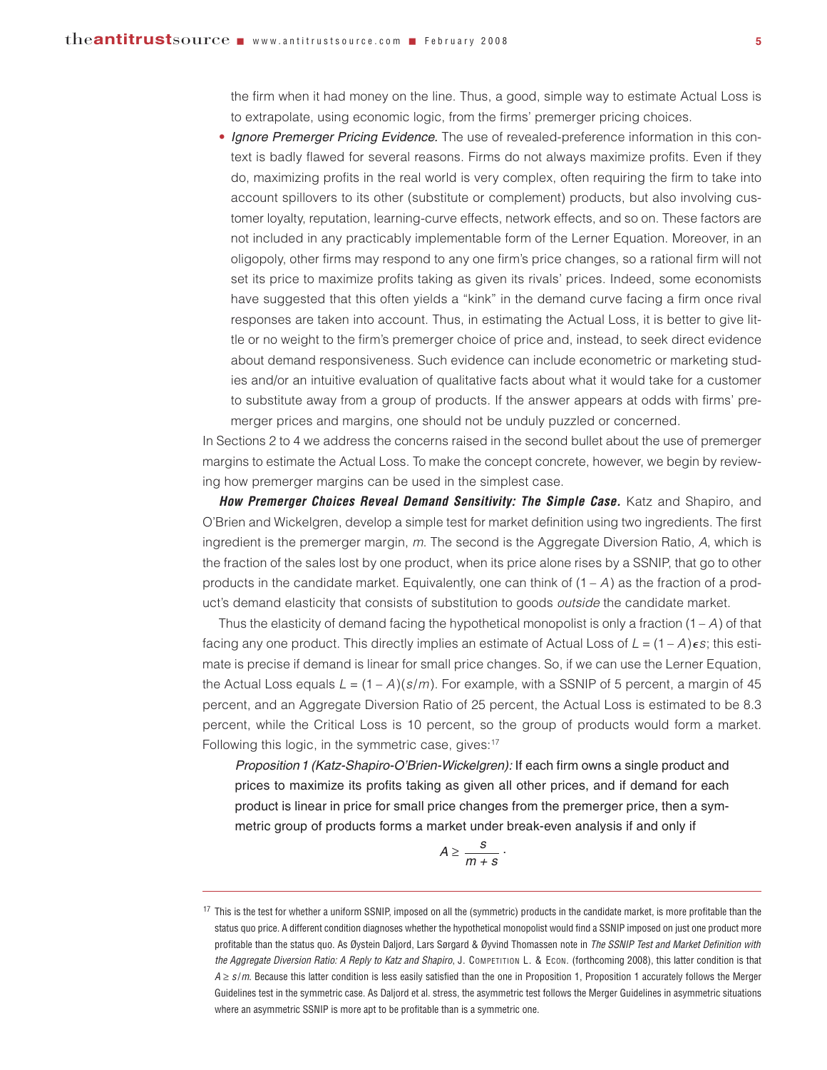the firm when it had money on the line. Thus, a good, simple way to estimate Actual Loss is to extrapolate, using economic logic, from the firms' premerger pricing choices.

• *Ignore Premerger Pricing Evidence.* The use of revealed-preference information in this context is badly flawed for several reasons. Firms do not always maximize profits. Even if they do, maximizing profits in the real world is very complex, often requiring the firm to take into account spillovers to its other (substitute or complement) products, but also involving customer loyalty, reputation, learning-curve effects, network effects, and so on. These factors are not included in any practicably implementable form of the Lerner Equation. Moreover, in an oligopoly, other firms may respond to any one firm's price changes, so a rational firm will not set its price to maximize profits taking as given its rivals' prices. Indeed, some economists have suggested that this often yields a "kink" in the demand curve facing a firm once rival responses are taken into account. Thus, in estimating the Actual Loss, it is better to give little or no weight to the firm's premerger choice of price and, instead, to seek direct evidence about demand responsiveness. Such evidence can include econometric or marketing studies and/or an intuitive evaluation of qualitative facts about what it would take for a customer to substitute away from a group of products. If the answer appears at odds with firms' premerger prices and margins, one should not be unduly puzzled or concerned.

In Sections 2 to 4 we address the concerns raised in the second bullet about the use of premerger margins to estimate the Actual Loss. To make the concept concrete, however, we begin by reviewing how premerger margins can be used in the simplest case.

*How Premerger Choices Reveal Demand Sensitivity: The Simple Case.* Katz and Shapiro, and O'Brien and Wickelgren, develop a simple test for market definition using two ingredients. The first ingredient is the premerger margin, *m*. The second is the Aggregate Diversion Ratio, *A*, which is the fraction of the sales lost by one product, when its price alone rises by a SSNIP, that go to other products in the candidate market. Equivalently, one can think of  $(1 - A)$  as the fraction of a product's demand elasticity that consists of substitution to goods *outside* the candidate market.

Thus the elasticity of demand facing the hypothetical monopolist is only a fraction (1 – *A*) of that facing any one product. This directly implies an estimate of Actual Loss of  $L = (1 - A)\epsilon s$ ; this estimate is precise if demand is linear for small price changes. So, if we can use the Lerner Equation, the Actual Loss equals  $L = (1 - A)(s/m)$ . For example, with a SSNIP of 5 percent, a margin of 45 percent, and an Aggregate Diversion Ratio of 25 percent, the Actual Loss is estimated to be 8.3 percent, while the Critical Loss is 10 percent, so the group of products would form a market. Following this logic, in the symmetric case, gives:<sup>17</sup>

*Proposition1 (Katz-Shapiro-O'Brien-Wickelgren):* If each firm owns a single product and prices to maximize its profits taking as given all other prices, and if demand for each product is linear in price for small price changes from the premerger price, then a symmetric group of products forms a market under break-even analysis if and only if

$$
A\geq \frac{s}{m+s}\;.
$$

<sup>&</sup>lt;sup>17</sup> This is the test for whether a uniform SSNIP, imposed on all the (symmetric) products in the candidate market, is more profitable than the status quo price. A different condition diagnoses whether the hypothetical monopolist would find a SSNIP imposed on just one product more profitable than the status quo. As Øystein Daljord, Lars Sørgard & Øyvind Thomassen note in *The SSNIP Test and Market Definition with the Aggregate Diversion Ratio: A Reply to Katz and Shapiro*, J. COMPETITION L. & ECON. (forthcoming 2008), this latter condition is that *A* ≥ *s* /*m*. Because this latter condition is less easily satisfied than the one in Proposition 1, Proposition 1 accurately follows the Merger Guidelines test in the symmetric case. As Daljord et al. stress, the asymmetric test follows the Merger Guidelines in asymmetric situations where an asymmetric SSNIP is more apt to be profitable than is a symmetric one.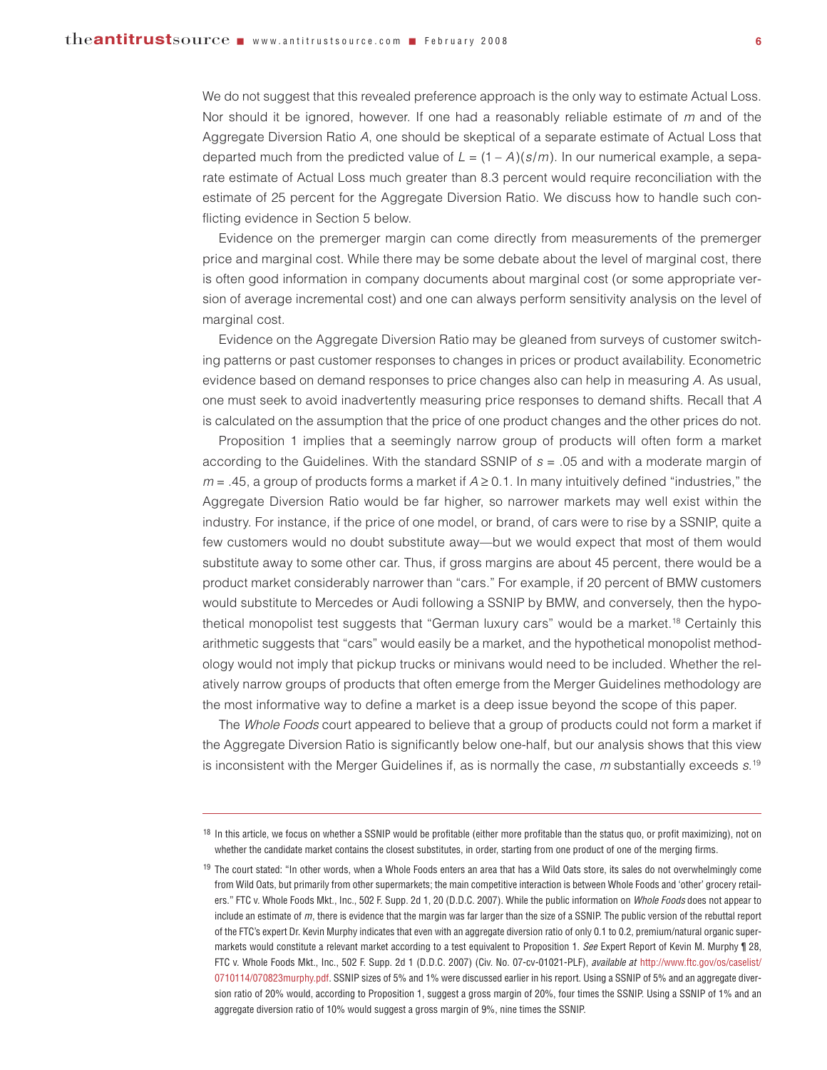We do not suggest that this revealed preference approach is the only way to estimate Actual Loss. Nor should it be ignored, however. If one had a reasonably reliable estimate of *m* and of the Aggregate Diversion Ratio *A*, one should be skeptical of a separate estimate of Actual Loss that departed much from the predicted value of  $L = (1 - A)(s/m)$ . In our numerical example, a separate estimate of Actual Loss much greater than 8.3 percent would require reconciliation with the estimate of 25 percent for the Aggregate Diversion Ratio. We discuss how to handle such conflicting evidence in Section 5 below.

Evidence on the premerger margin can come directly from measurements of the premerger price and marginal cost. While there may be some debate about the level of marginal cost, there is often good information in company documents about marginal cost (or some appropriate version of average incremental cost) and one can always perform sensitivity analysis on the level of marginal cost.

Evidence on the Aggregate Diversion Ratio may be gleaned from surveys of customer switching patterns or past customer responses to changes in prices or product availability. Econometric evidence based on demand responses to price changes also can help in measuring *A*. As usual, one must seek to avoid inadvertently measuring price responses to demand shifts. Recall that *A* is calculated on the assumption that the price of one product changes and the other prices do not.

Proposition 1 implies that a seemingly narrow group of products will often form a market according to the Guidelines. With the standard SSNIP of *s* = .05 and with a moderate margin of  $m = .45$ , a group of products forms a market if  $A \ge 0.1$ . In many intuitively defined "industries," the Aggregate Diversion Ratio would be far higher, so narrower markets may well exist within the industry. For instance, if the price of one model, or brand, of cars were to rise by a SSNIP, quite a few customers would no doubt substitute away—but we would expect that most of them would substitute away to some other car. Thus, if gross margins are about 45 percent, there would be a product market considerably narrower than "cars." For example, if 20 percent of BMW customers would substitute to Mercedes or Audi following a SSNIP by BMW, and conversely, then the hypothetical monopolist test suggests that "German luxury cars" would be a market.<sup>18</sup> Certainly this arithmetic suggests that "cars" would easily be a market, and the hypothetical monopolist methodology would not imply that pickup trucks or minivans would need to be included. Whether the relatively narrow groups of products that often emerge from the Merger Guidelines methodology are the most informative way to define a market is a deep issue beyond the scope of this paper.

The *Whole Foods* court appeared to believe that a group of products could not form a market if the Aggregate Diversion Ratio is significantly below one-half, but our analysis shows that this view is inconsistent with the Merger Guidelines if, as is normally the case, *m* substantially exceeds *s*. 19

 $18$  In this article, we focus on whether a SSNIP would be profitable (either more profitable than the status quo, or profit maximizing), not on whether the candidate market contains the closest substitutes, in order, starting from one product of one of the merging firms.

<sup>19</sup> The court stated: "In other words, when a Whole Foods enters an area that has a Wild Oats store, its sales do not overwhelmingly come from Wild Oats, but primarily from other supermarkets; the main competitive interaction is between Whole Foods and 'other' grocery retailers." FTC v. Whole Foods Mkt., Inc., 502 F. Supp. 2d 1, 20 (D.D.C. 2007). While the public information on *Whole Foods* does not appear to include an estimate of *m*, there is evidence that the margin was far larger than the size of a SSNIP. The public version of the rebuttal report of the FTC's expert Dr. Kevin Murphy indicates that even with an aggregate diversion ratio of only 0.1 to 0.2, premium/natural organic supermarkets would constitute a relevant market according to a test equivalent to Proposition 1. *See* Expert Report of Kevin M. Murphy ¶ 28, FTC v. Whole Foods Mkt., Inc., 502 F. Supp. 2d 1 (D.D.C. 2007) (Civ. No. 07-cv-01021-PLF), *available at* [http://www.ftc.gov/os/caselist/](http://www.ftc.gov/os/caselist/0710114/070823murphy.pdf) [0710114/070823murphy.pdf.](http://www.ftc.gov/os/caselist/0710114/070823murphy.pdf) SSNIP sizes of 5% and 1% were discussed earlier in his report. Using a SSNIP of 5% and an aggregate diversion ratio of 20% would, according to Proposition 1, suggest a gross margin of 20%, four times the SSNIP. Using a SSNIP of 1% and an aggregate diversion ratio of 10% would suggest a gross margin of 9%, nine times the SSNIP.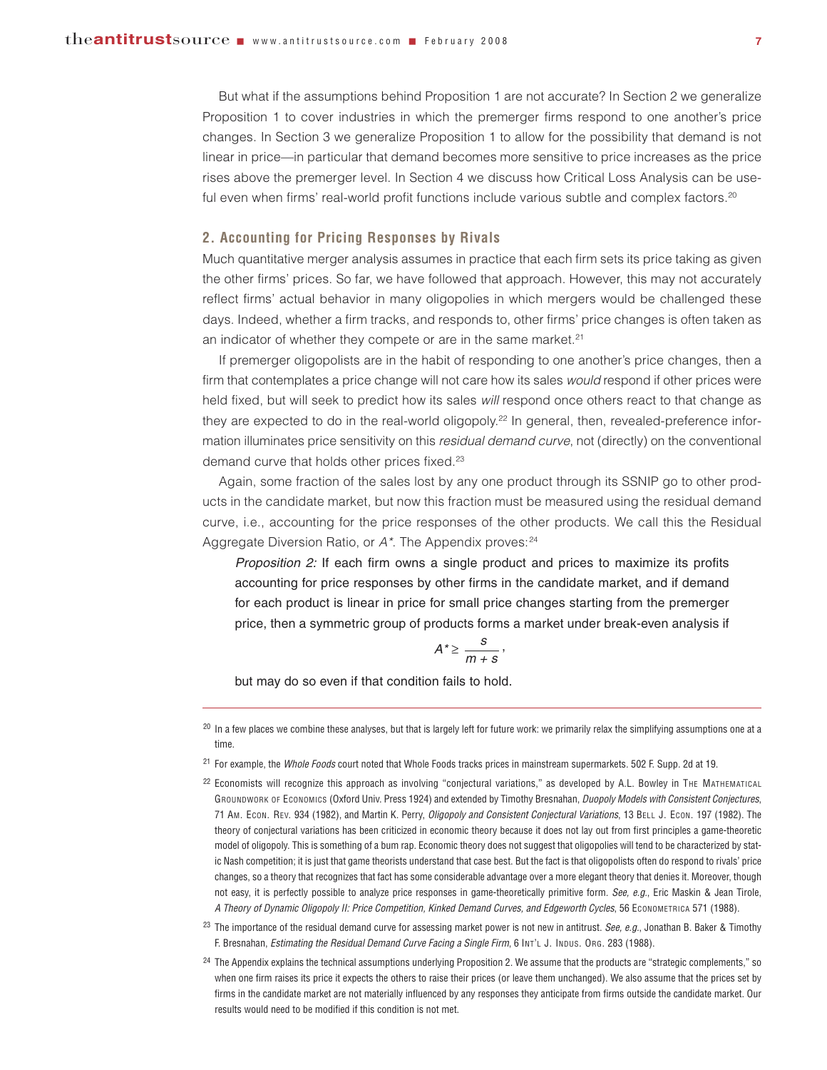But what if the assumptions behind Proposition 1 are not accurate? In Section 2 we generalize Proposition 1 to cover industries in which the premerger firms respond to one another's price changes. In Section 3 we generalize Proposition 1 to allow for the possibility that demand is not linear in price—in particular that demand becomes more sensitive to price increases as the price rises above the premerger level. In Section 4 we discuss how Critical Loss Analysis can be useful even when firms' real-world profit functions include various subtle and complex factors.<sup>20</sup>

#### **2. Accounting for Pricing Responses by Rivals**

Much quantitative merger analysis assumes in practice that each firm sets its price taking as given the other firms' prices. So far, we have followed that approach. However, this may not accurately reflect firms' actual behavior in many oligopolies in which mergers would be challenged these days. Indeed, whether a firm tracks, and responds to, other firms' price changes is often taken as an indicator of whether they compete or are in the same market.<sup>21</sup>

If premerger oligopolists are in the habit of responding to one another's price changes, then a firm that contemplates a price change will not care how its sales *would* respond if other prices were held fixed, but will seek to predict how its sales *will* respond once others react to that change as they are expected to do in the real-world oligopoly.<sup>22</sup> In general, then, revealed-preference information illuminates price sensitivity on this *residual demand curve*, not (directly) on the conventional demand curve that holds other prices fixed.<sup>23</sup>

Again, some fraction of the sales lost by any one product through its SSNIP go to other products in the candidate market, but now this fraction must be measured using the residual demand curve, i.e., accounting for the price responses of the other products. We call this the Residual Aggregate Diversion Ratio, or  $A^*$ . The Appendix proves:<sup>24</sup>

*Proposition 2:* If each firm owns a single product and prices to maximize its profits accounting for price responses by other firms in the candidate market, and if demand for each product is linear in price for small price changes starting from the premerger price, then a symmetric group of products forms a market under break-even analysis if

$$
A^*\geq \frac{s}{m+s},
$$

but may do so even if that condition fails to hold.

 $^{20}$  In a few places we combine these analyses, but that is largely left for future work: we primarily relax the simplifying assumptions one at a time.

<sup>21</sup> For example, the *Whole Foods* court noted that Whole Foods tracks prices in mainstream supermarkets. 502 F. Supp. 2d at 19.

<sup>22</sup> Economists will recognize this approach as involving "conjectural variations," as developed by A.L. Bowley in THE MATHEMATICAL GROUNDWORK OF ECONOMICS (Oxford Univ. Press 1924) and extended by Timothy Bresnahan, *Duopoly Models with Consistent Conjectures*, 71 AM. ECON. REV. 934 (1982), and Martin K. Perry, *Oligopoly and Consistent Conjectural Variations*, 13 BELL J. ECON. 197 (1982). The theory of conjectural variations has been criticized in economic theory because it does not lay out from first principles a game-theoretic model of oligopoly. This is something of a bum rap. Economic theory does not suggest that oligopolies will tend to be characterized by static Nash competition; it is just that game theorists understand that case best. But the fact is that oligopolists often do respond to rivals' price changes, so a theory that recognizes that fact has some considerable advantage over a more elegant theory that denies it. Moreover, though not easy, it is perfectly possible to analyze price responses in game-theoretically primitive form. *See, e.g.*, Eric Maskin & Jean Tirole, *A Theory of Dynamic Oligopoly II: Price Competition, Kinked Demand Curves, and Edgeworth Cycles*, 56 ECONOMETRICA 571 (1988).

<sup>23</sup> The importance of the residual demand curve for assessing market power is not new in antitrust. *See, e.g.*, Jonathan B. Baker & Timothy F. Bresnahan, *Estimating the Residual Demand Curve Facing a Single Firm*, 6 INT'L J. INDUS. ORG. 283 (1988).

<sup>24</sup> The Appendix explains the technical assumptions underlying Proposition 2. We assume that the products are "strategic complements," so when one firm raises its price it expects the others to raise their prices (or leave them unchanged). We also assume that the prices set by firms in the candidate market are not materially influenced by any responses they anticipate from firms outside the candidate market. Our results would need to be modified if this condition is not met.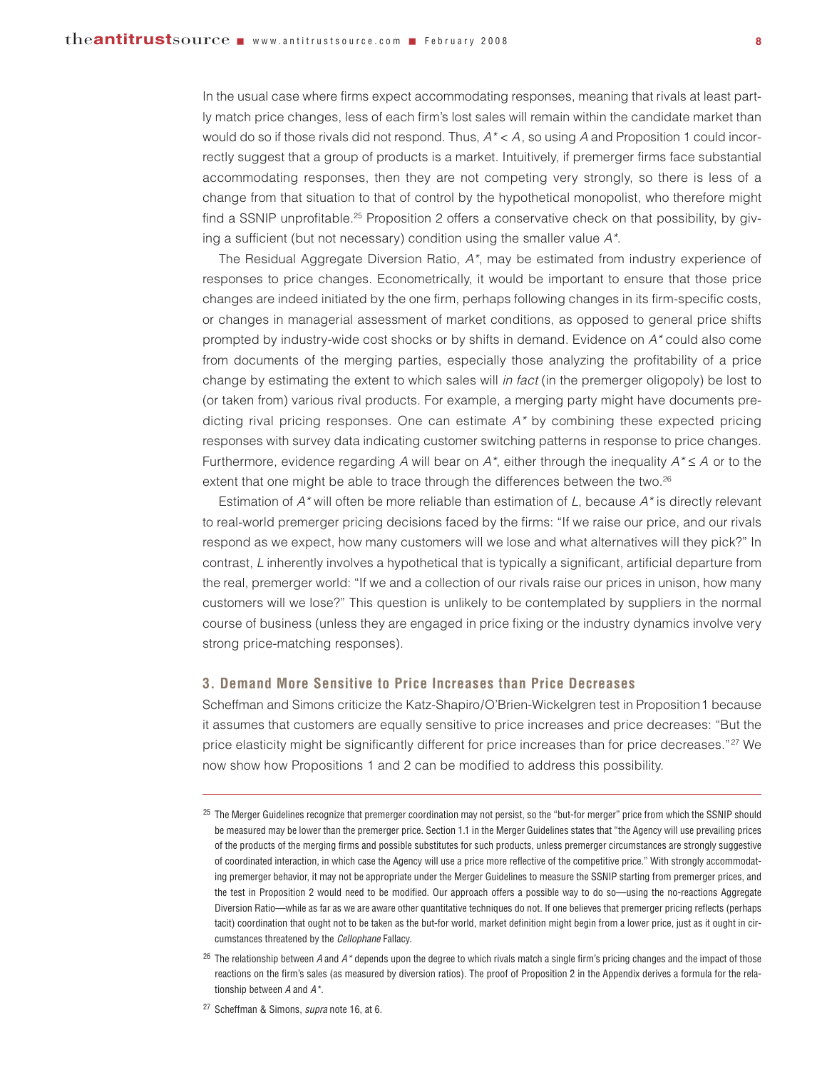In the usual case where firms expect accommodating responses, meaning that rivals at least partly match price changes, less of each firm's lost sales will remain within the candidate market than would do so if those rivals did not respond. Thus, *A\** < *A*, so using *A* and Proposition 1 could incorrectly suggest that a group of products is a market. Intuitively, if premerger firms face substantial accommodating responses, then they are not competing very strongly, so there is less of a change from that situation to that of control by the hypothetical monopolist, who therefore might find a SSNIP unprofitable.25 Proposition 2 offers a conservative check on that possibility, by giving a sufficient (but not necessary) condition using the smaller value *A\**.

The Residual Aggregate Diversion Ratio, *A\**, may be estimated from industry experience of responses to price changes. Econometrically, it would be important to ensure that those price changes are indeed initiated by the one firm, perhaps following changes in its firm-specific costs, or changes in managerial assessment of market conditions, as opposed to general price shifts prompted by industry-wide cost shocks or by shifts in demand. Evidence on *A\** could also come from documents of the merging parties, especially those analyzing the profitability of a price change by estimating the extent to which sales will *in fact* (in the premerger oligopoly) be lost to (or taken from) various rival products. For example, a merging party might have documents predicting rival pricing responses. One can estimate *A\** by combining these expected pricing responses with survey data indicating customer switching patterns in response to price changes. Furthermore, evidence regarding *A* will bear on  $A^*$ , either through the inequality  $A^* \leq A$  or to the extent that one might be able to trace through the differences between the two.<sup>26</sup>

Estimation of *A\** will often be more reliable than estimation of *L*, because *A\** is directly relevant to real-world premerger pricing decisions faced by the firms: "If we raise our price, and our rivals respond as we expect, how many customers will we lose and what alternatives will they pick?" In contrast, *L* inherently involves a hypothetical that is typically a significant, artificial departure from the real, premerger world: "If we and a collection of our rivals raise our prices in unison, how many customers will we lose?" This question is unlikely to be contemplated by suppliers in the normal course of business (unless they are engaged in price fixing or the industry dynamics involve very strong price-matching responses).

#### **3. Demand More Sensitive to Price Increases than Price Decreases**

Scheffman and Simons criticize the Katz-Shapiro/O'Brien-Wickelgren test in Proposition1 because it assumes that customers are equally sensitive to price increases and price decreases: "But the price elasticity might be significantly different for price increases than for price decreases."<sup>27</sup> We now show how Propositions 1 and 2 can be modified to address this possibility.

<sup>27</sup> Scheffman & Simons, *supra* note 16, at 6.

<sup>25</sup> The Merger Guidelines recognize that premerger coordination may not persist, so the "but-for merger" price from which the SSNIP should be measured may be lower than the premerger price. Section 1.1 in the Merger Guidelines states that "the Agency will use prevailing prices of the products of the merging firms and possible substitutes for such products, unless premerger circumstances are strongly suggestive of coordinated interaction, in which case the Agency will use a price more reflective of the competitive price." With strongly accommodating premerger behavior, it may not be appropriate under the Merger Guidelines to measure the SSNIP starting from premerger prices, and the test in Proposition 2 would need to be modified. Our approach offers a possible way to do so—using the no-reactions Aggregate Diversion Ratio—while as far as we are aware other quantitative techniques do not. If one believes that premerger pricing reflects (perhaps tacit) coordination that ought not to be taken as the but-for world, market definition might begin from a lower price, just as it ought in circumstances threatened by the *Cellophane* Fallacy.

<sup>26</sup> The relationship between *A* and *A\** depends upon the degree to which rivals match a single firm's pricing changes and the impact of those reactions on the firm's sales (as measured by diversion ratios). The proof of Proposition 2 in the Appendix derives a formula for the relationship between *A* and *A\**.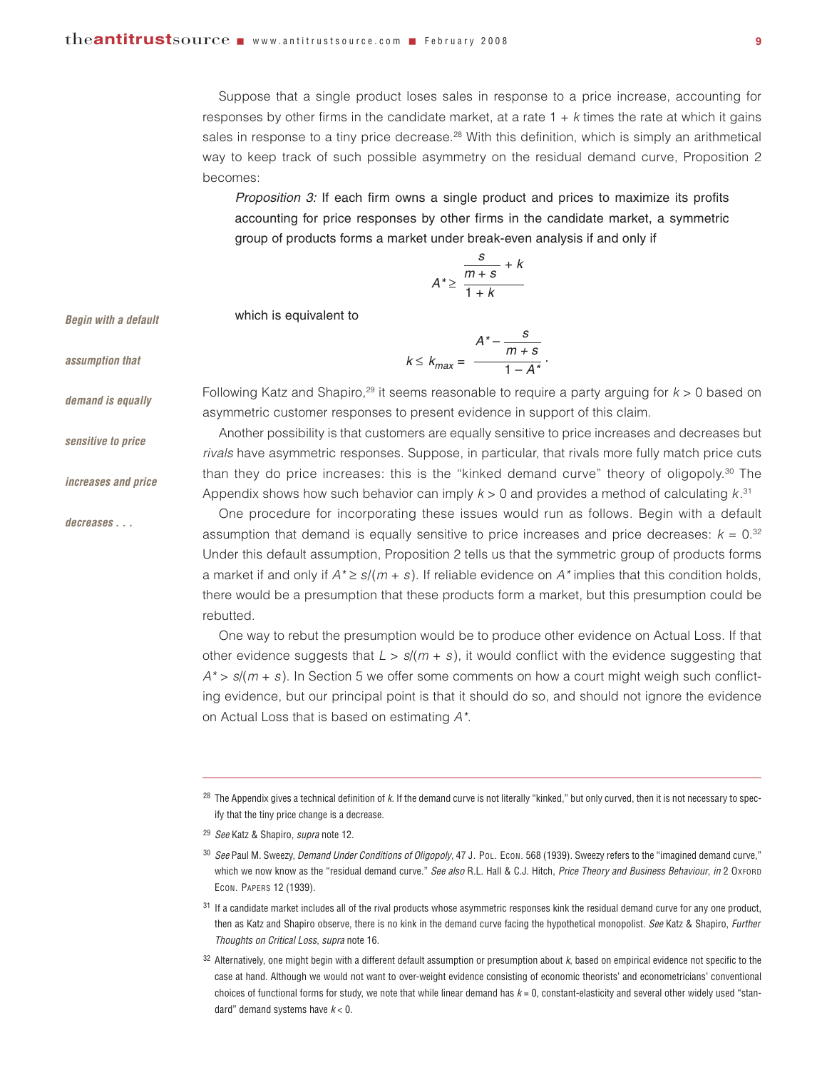which is equivalent to

Suppose that a single product loses sales in response to a price increase, accounting for responses by other firms in the candidate market, at a rate 1 + *k* times the rate at which it gains sales in response to a tiny price decrease.<sup>28</sup> With this definition, which is simply an arithmetical way to keep track of such possible asymmetry on the residual demand curve, Proposition 2 becomes:

*Proposition 3:* If each firm owns a single product and prices to maximize its profits accounting for price responses by other firms in the candidate market, a symmetric group of products forms a market under break-even analysis if and only if

$$
A^* \geq \frac{\frac{S}{m+s} + k}{1+k}
$$

 $k \leq k_{max} = \frac{m+s}{1-A^*}$ .

*Begin with a default*

*assumption that*

*demand is equally* 

*sensitive to price*

*increases and price*

*decreases . . .*

Following Katz and Shapiro,29 it seems reasonable to require a party arguing for *k* > 0 based on asymmetric customer responses to present evidence in support of this claim.

*A\** – *<sup>s</sup>*

Another possibility is that customers are equally sensitive to price increases and decreases but *rivals* have asymmetric responses. Suppose, in particular, that rivals more fully match price cuts than they do price increases: this is the "kinked demand curve" theory of oligopoly.30 The Appendix shows how such behavior can imply *k* > 0 and provides a method of calculating *k*. 31

One procedure for incorporating these issues would run as follows. Begin with a default assumption that demand is equally sensitive to price increases and price decreases:  $k = 0.32$ Under this default assumption, Proposition 2 tells us that the symmetric group of products forms a market if and only if *A\** ≥ *s*/(*m* + *s*). If reliable evidence on *A\** implies that this condition holds, there would be a presumption that these products form a market, but this presumption could be rebutted.

One way to rebut the presumption would be to produce other evidence on Actual Loss. If that other evidence suggests that  $L > s/(m + s)$ , it would conflict with the evidence suggesting that *A\** > *s*/(*m* + *s*). In Section 5 we offer some comments on how a court might weigh such conflicting evidence, but our principal point is that it should do so, and should not ignore the evidence on Actual Loss that is based on estimating *A\**.

<sup>28</sup> The Appendix gives a technical definition of *k*. If the demand curve is not literally "kinked," but only curved, then it is not necessary to specify that the tiny price change is a decrease.

<sup>30</sup> *See* Paul M. Sweezy, *Demand Under Conditions of Oligopoly*, 47 J. POL. ECON. 568 (1939). Sweezy refers to the "imagined demand curve," which we now know as the "residual demand curve." *See also* R.L. Hall & C.J. Hitch, *Price Theory and Business Behaviour*, *in* 2 OXFORD ECON. PAPERS 12 (1939).

<sup>31</sup> If a candidate market includes all of the rival products whose asymmetric responses kink the residual demand curve for any one product, then as Katz and Shapiro observe, there is no kink in the demand curve facing the hypothetical monopolist. *See* Katz & Shapiro, *Further Thoughts on Critical Loss*, *supra* note 16.

<sup>32</sup> Alternatively, one might begin with a different default assumption or presumption about *k*, based on empirical evidence not specific to the case at hand. Although we would not want to over-weight evidence consisting of economic theorists' and econometricians' conventional choices of functional forms for study, we note that while linear demand has *k* = 0, constant-elasticity and several other widely used "standard" demand systems have *k* < 0.

<sup>29</sup> *See* Katz & Shapiro, *supra* note 12.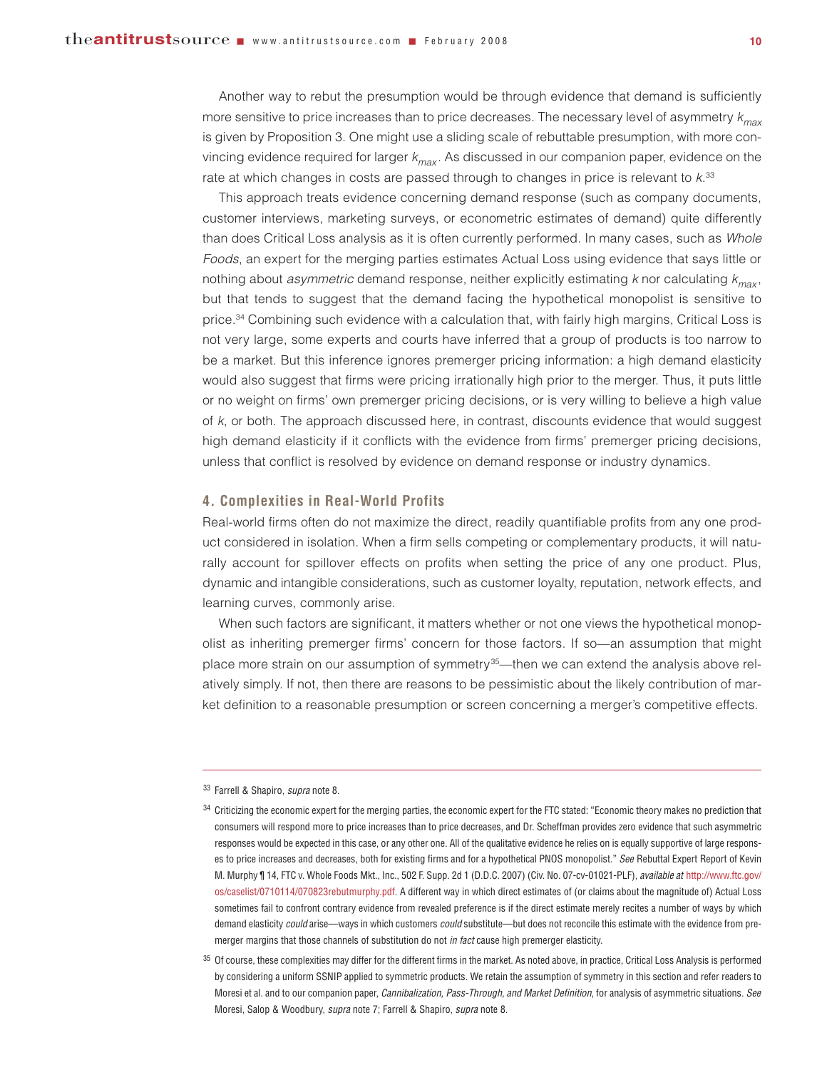Another way to rebut the presumption would be through evidence that demand is sufficiently more sensitive to price increases than to price decreases. The necessary level of asymmetry *kmax* is given by Proposition 3. One might use a sliding scale of rebuttable presumption, with more convincing evidence required for larger *kmax* . As discussed in our companion paper, evidence on the rate at which changes in costs are passed through to changes in price is relevant to *k*. 33

This approach treats evidence concerning demand response (such as company documents, customer interviews, marketing surveys, or econometric estimates of demand) quite differently than does Critical Loss analysis as it is often currently performed. In many cases, such as *Whole Foods*, an expert for the merging parties estimates Actual Loss using evidence that says little or nothing about *asymmetric* demand response, neither explicitly estimating *k* nor calculating *kmax* , but that tends to suggest that the demand facing the hypothetical monopolist is sensitive to price.<sup>34</sup> Combining such evidence with a calculation that, with fairly high margins, Critical Loss is not very large, some experts and courts have inferred that a group of products is too narrow to be a market. But this inference ignores premerger pricing information: a high demand elasticity would also suggest that firms were pricing irrationally high prior to the merger. Thus, it puts little or no weight on firms' own premerger pricing decisions, or is very willing to believe a high value of *k*, or both. The approach discussed here, in contrast, discounts evidence that would suggest high demand elasticity if it conflicts with the evidence from firms' premerger pricing decisions, unless that conflict is resolved by evidence on demand response or industry dynamics.

#### **4. Complexities in Real-World Profits**

Real-world firms often do not maximize the direct, readily quantifiable profits from any one product considered in isolation. When a firm sells competing or complementary products, it will naturally account for spillover effects on profits when setting the price of any one product. Plus, dynamic and intangible considerations, such as customer loyalty, reputation, network effects, and learning curves, commonly arise.

When such factors are significant, it matters whether or not one views the hypothetical monopolist as inheriting premerger firms' concern for those factors. If so—an assumption that might place more strain on our assumption of symmetry<sup>35</sup>—then we can extend the analysis above relatively simply. If not, then there are reasons to be pessimistic about the likely contribution of market definition to a reasonable presumption or screen concerning a merger's competitive effects.

<sup>33</sup> Farrell & Shapiro, *supra* note 8.

<sup>34</sup> Criticizing the economic expert for the merging parties, the economic expert for the FTC stated: "Economic theory makes no prediction that consumers will respond more to price increases than to price decreases, and Dr. Scheffman provides zero evidence that such asymmetric responses would be expected in this case, or any other one. All of the qualitative evidence he relies on is equally supportive of large responses to price increases and decreases, both for existing firms and for a hypothetical PNOS monopolist." *See* Rebuttal Expert Report of Kevin M. Murphy ¶ 14, FTC v. Whole Foods Mkt., Inc., 502 F. Supp. 2d 1 (D.D.C. 2007) (Civ. No. 07-cv-01021-PLF), *available at* [http://www.ftc.gov/](http://www.ftc.gov/os/caselist/0710114/070823rebutmurphy.pdf) [os/caselist/0710114/070823rebutmurphy.pdf.](http://www.ftc.gov/os/caselist/0710114/070823rebutmurphy.pdf) A different way in which direct estimates of (or claims about the magnitude of) Actual Loss sometimes fail to confront contrary evidence from revealed preference is if the direct estimate merely recites a number of ways by which demand elasticity *could* arise—ways in which customers *could* substitute—but does not reconcile this estimate with the evidence from premerger margins that those channels of substitution do not *in fact* cause high premerger elasticity.

<sup>&</sup>lt;sup>35</sup> Of course, these complexities may differ for the different firms in the market. As noted above, in practice, Critical Loss Analysis is performed by considering a uniform SSNIP applied to symmetric products. We retain the assumption of symmetry in this section and refer readers to Moresi et al. and to our companion paper, *Cannibalization, Pass-Through, and Market Definition*, for analysis of asymmetric situations. *See* Moresi, Salop & Woodbury, *supra* note 7; Farrell & Shapiro, *supra* note 8.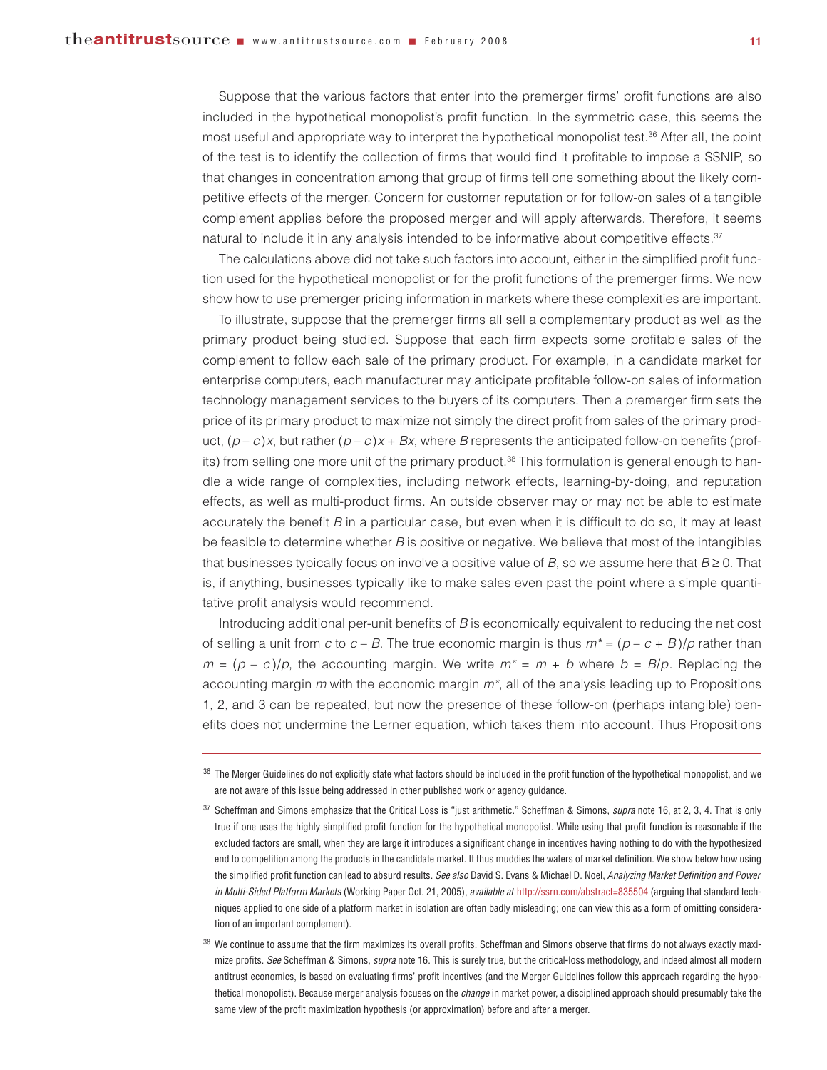Suppose that the various factors that enter into the premerger firms' profit functions are also included in the hypothetical monopolist's profit function. In the symmetric case, this seems the most useful and appropriate way to interpret the hypothetical monopolist test.<sup>36</sup> After all, the point of the test is to identify the collection of firms that would find it profitable to impose a SSNIP, so that changes in concentration among that group of firms tell one something about the likely competitive effects of the merger. Concern for customer reputation or for follow-on sales of a tangible complement applies before the proposed merger and will apply afterwards. Therefore, it seems natural to include it in any analysis intended to be informative about competitive effects.<sup>37</sup>

The calculations above did not take such factors into account, either in the simplified profit function used for the hypothetical monopolist or for the profit functions of the premerger firms. We now show how to use premerger pricing information in markets where these complexities are important.

To illustrate, suppose that the premerger firms all sell a complementary product as well as the primary product being studied. Suppose that each firm expects some profitable sales of the complement to follow each sale of the primary product. For example, in a candidate market for enterprise computers, each manufacturer may anticipate profitable follow-on sales of information technology management services to the buyers of its computers. Then a premerger firm sets the price of its primary product to maximize not simply the direct profit from sales of the primary product,  $(p - c)x$ , but rather  $(p - c)x + Bx$ , where *B* represents the anticipated follow-on benefits (profits) from selling one more unit of the primary product.<sup>38</sup> This formulation is general enough to handle a wide range of complexities, including network effects, learning-by-doing, and reputation effects, as well as multi-product firms. An outside observer may or may not be able to estimate accurately the benefit *B* in a particular case, but even when it is difficult to do so, it may at least be feasible to determine whether *B* is positive or negative. We believe that most of the intangibles that businesses typically focus on involve a positive value of *B*, so we assume here that *B* ≥ 0. That is, if anything, businesses typically like to make sales even past the point where a simple quantitative profit analysis would recommend.

Introducing additional per-unit benefits of *B* is economically equivalent to reducing the net cost of selling a unit from *c* to  $c - B$ . The true economic margin is thus  $m^* = (p - c + B)/p$  rather than  $m = (p - c)/p$ , the accounting margin. We write  $m^* = m + b$  where  $b = B/p$ . Replacing the accounting margin *m* with the economic margin *m\**, all of the analysis leading up to Propositions 1, 2, and 3 can be repeated, but now the presence of these follow-on (perhaps intangible) benefits does not undermine the Lerner equation, which takes them into account. Thus Propositions

<sup>36</sup> The Merger Guidelines do not explicitly state what factors should be included in the profit function of the hypothetical monopolist, and we are not aware of this issue being addressed in other published work or agency guidance.

<sup>37</sup> Scheffman and Simons emphasize that the Critical Loss is "just arithmetic." Scheffman & Simons, *supra* note 16, at 2, 3, 4. That is only true if one uses the highly simplified profit function for the hypothetical monopolist. While using that profit function is reasonable if the excluded factors are small, when they are large it introduces a significant change in incentives having nothing to do with the hypothesized end to competition among the products in the candidate market. It thus muddies the waters of market definition. We show below how using the simplified profit function can lead to absurd results. *See also* David S. Evans & Michael D. Noel, *Analyzing Market Definition and Power in Multi-Sided Platform Markets* (Working Paper Oct. 21, 2005), *available at* <http://ssrn.com/abstract=835504> (arguing that standard techniques applied to one side of a platform market in isolation are often badly misleading; one can view this as a form of omitting consideration of an important complement).

<sup>&</sup>lt;sup>38</sup> We continue to assume that the firm maximizes its overall profits. Scheffman and Simons observe that firms do not always exactly maximize profits. *See* Scheffman & Simons, *supra* note 16. This is surely true, but the critical-loss methodology, and indeed almost all modern antitrust economics, is based on evaluating firms' profit incentives (and the Merger Guidelines follow this approach regarding the hypothetical monopolist). Because merger analysis focuses on the *change* in market power, a disciplined approach should presumably take the same view of the profit maximization hypothesis (or approximation) before and after a merger.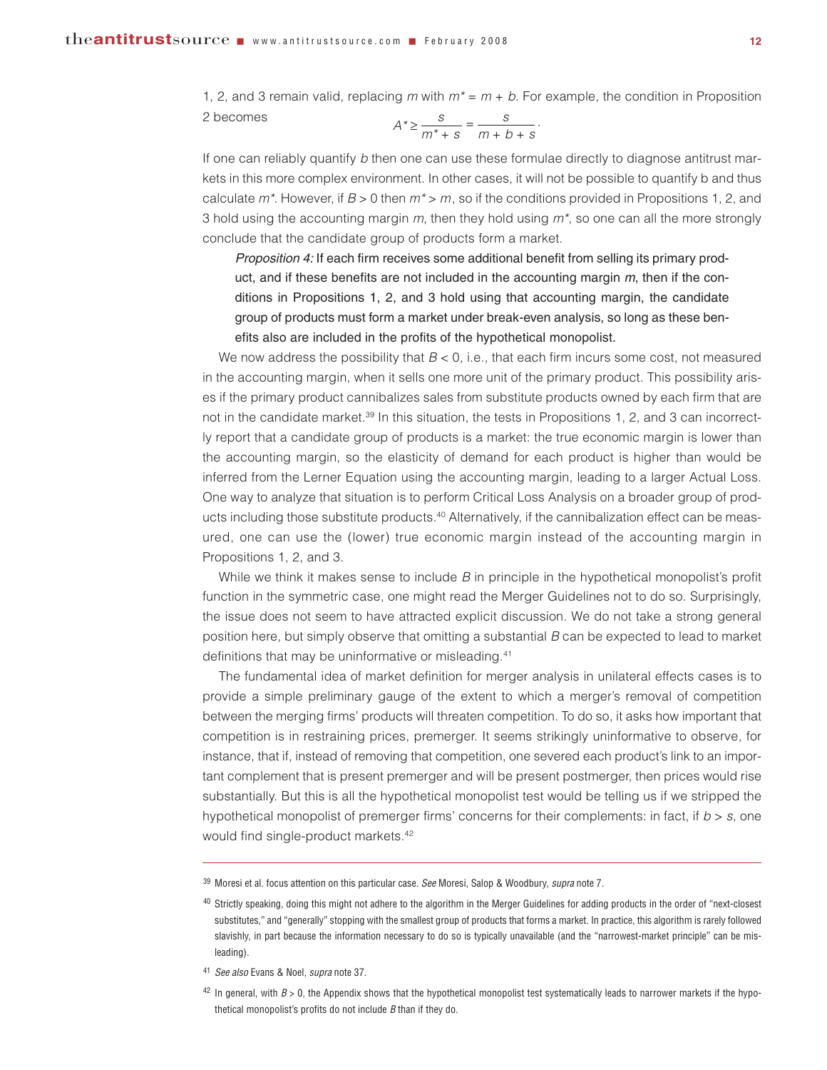1, 2, and 3 remain valid, replacing *m* with *m\** = *m* + *b*. For example, the condition in Proposition 2 becomes  $A^* \ge \frac{s}{m^* + s} = \frac{s}{m + b + s}$ *.*

$$
A^* \ge \frac{c}{m^* + s} = \frac{c}{m + b + s}.
$$

If one can reliably quantify *b* then one can use these formulae directly to diagnose antitrust markets in this more complex environment. In other cases, it will not be possible to quantify b and thus calculate *m\**. However, if *B* > 0 then *m\** > *m*, so if the conditions provided in Propositions 1, 2, and 3 hold using the accounting margin *m*, then they hold using *m\**, so one can all the more strongly conclude that the candidate group of products form a market.

*Proposition 4:* If each firm receives some additional benefit from selling its primary product, and if these benefits are not included in the accounting margin *m*, then if the conditions in Propositions 1, 2, and 3 hold using that accounting margin, the candidate group of products must form a market under break-even analysis, so long as these benefits also are included in the profits of the hypothetical monopolist.

We now address the possibility that  $B < 0$ , i.e., that each firm incurs some cost, not measured in the accounting margin, when it sells one more unit of the primary product. This possibility arises if the primary product cannibalizes sales from substitute products owned by each firm that are not in the candidate market.<sup>39</sup> In this situation, the tests in Propositions 1, 2, and 3 can incorrectly report that a candidate group of products is a market: the true economic margin is lower than the accounting margin, so the elasticity of demand for each product is higher than would be inferred from the Lerner Equation using the accounting margin, leading to a larger Actual Loss. One way to analyze that situation is to perform Critical Loss Analysis on a broader group of products including those substitute products.<sup>40</sup> Alternatively, if the cannibalization effect can be measured, one can use the (lower) true economic margin instead of the accounting margin in Propositions 1, 2, and 3.

While we think it makes sense to include *B* in principle in the hypothetical monopolist's profit function in the symmetric case, one might read the Merger Guidelines not to do so. Surprisingly, the issue does not seem to have attracted explicit discussion. We do not take a strong general position here, but simply observe that omitting a substantial *B* can be expected to lead to market definitions that may be uninformative or misleading.41

The fundamental idea of market definition for merger analysis in unilateral effects cases is to provide a simple preliminary gauge of the extent to which a merger's removal of competition between the merging firms' products will threaten competition. To do so, it asks how important that competition is in restraining prices, premerger. It seems strikingly uninformative to observe, for instance, that if, instead of removing that competition, one severed each product's link to an important complement that is present premerger and will be present postmerger, then prices would rise substantially. But this is all the hypothetical monopolist test would be telling us if we stripped the hypothetical monopolist of premerger firms' concerns for their complements: in fact, if *b* > *s*, one would find single-product markets.<sup>42</sup>

<sup>39</sup> Moresi et al. focus attention on this particular case. *See* Moresi, Salop & Woodbury, *supra* note 7.

<sup>&</sup>lt;sup>40</sup> Strictly speaking, doing this might not adhere to the algorithm in the Merger Guidelines for adding products in the order of "next-closest substitutes," and "generally" stopping with the smallest group of products that forms a market. In practice, this algorithm is rarely followed slavishly, in part because the information necessary to do so is typically unavailable (and the "narrowest-market principle" can be misleading).

<sup>41</sup> *See also* Evans & Noel, *supra* note 37.

 $42$  In general, with  $B > 0$ , the Appendix shows that the hypothetical monopolist test systematically leads to narrower markets if the hypothetical monopolist's profits do not include *B* than if they do.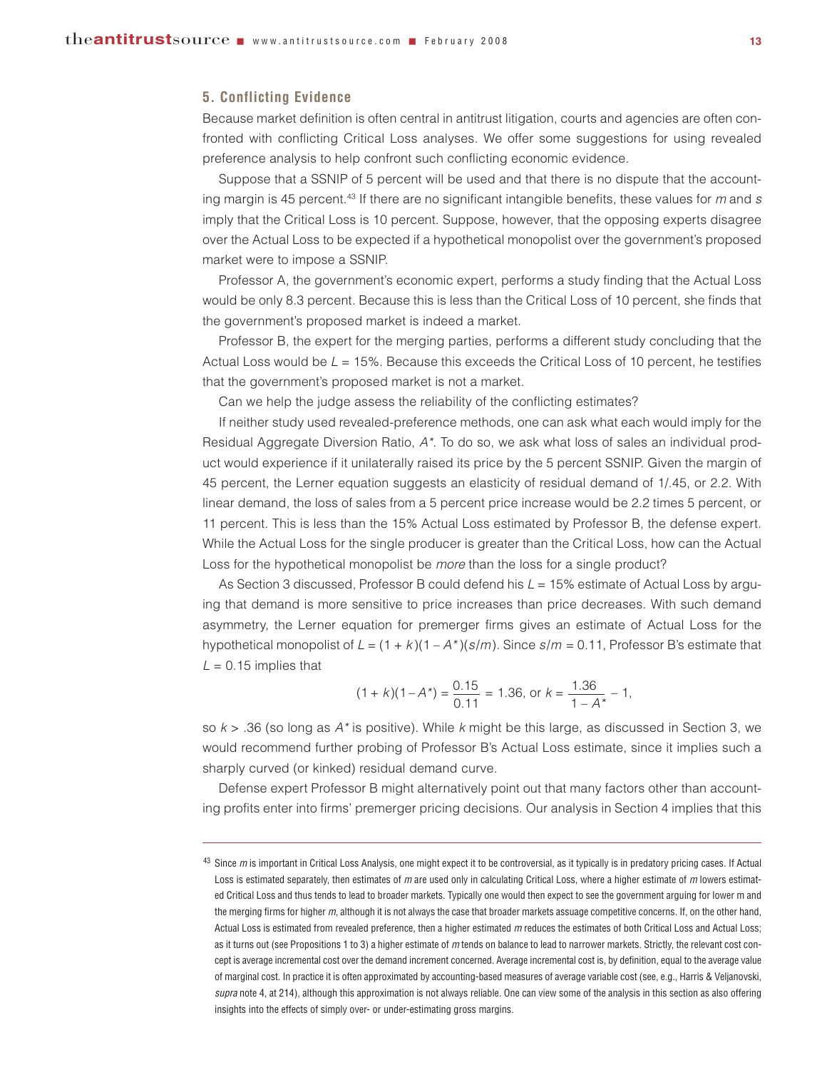#### **5. Conflicting Evidence**

Because market definition is often central in antitrust litigation, courts and agencies are often confronted with conflicting Critical Loss analyses. We offer some suggestions for using revealed preference analysis to help confront such conflicting economic evidence.

Suppose that a SSNIP of 5 percent will be used and that there is no dispute that the accounting margin is 45 percent.43 If there are no significant intangible benefits, these values for *m* and *s* imply that the Critical Loss is 10 percent. Suppose, however, that the opposing experts disagree over the Actual Loss to be expected if a hypothetical monopolist over the government's proposed market were to impose a SSNIP.

Professor A, the government's economic expert, performs a study finding that the Actual Loss would be only 8.3 percent. Because this is less than the Critical Loss of 10 percent, she finds that the government's proposed market is indeed a market.

Professor B, the expert for the merging parties, performs a different study concluding that the Actual Loss would be *L* = 15%. Because this exceeds the Critical Loss of 10 percent, he testifies that the government's proposed market is not a market.

Can we help the judge assess the reliability of the conflicting estimates?

If neither study used revealed-preference methods, one can ask what each would imply for the Residual Aggregate Diversion Ratio, *A\**. To do so, we ask what loss of sales an individual product would experience if it unilaterally raised its price by the 5 percent SSNIP. Given the margin of 45 percent, the Lerner equation suggests an elasticity of residual demand of 1/.45, or 2.2. With linear demand, the loss of sales from a 5 percent price increase would be 2.2 times 5 percent, or 11 percent. This is less than the 15% Actual Loss estimated by Professor B, the defense expert. While the Actual Loss for the single producer is greater than the Critical Loss, how can the Actual Loss for the hypothetical monopolist be *more* than the loss for a single product?

As Section 3 discussed, Professor B could defend his *L* = 15% estimate of Actual Loss by arguing that demand is more sensitive to price increases than price decreases. With such demand asymmetry, the Lerner equation for premerger firms gives an estimate of Actual Loss for the hypothetical monopolist of  $L = (1 + k)(1 - A<sup>*</sup>)(s/m)$ . Since  $s/m = 0.11$ , Professor B's estimate that  $L = 0.15$  implies that

$$
(1 + k)(1 - A^*) = \frac{0.15}{0.11} = 1.36, \text{ or } k = \frac{1.36}{1 - A^*} - 1,
$$

so *k* > .36 (so long as *A\** is positive). While *k* might be this large, as discussed in Section 3, we would recommend further probing of Professor B's Actual Loss estimate, since it implies such a sharply curved (or kinked) residual demand curve.

Defense expert Professor B might alternatively point out that many factors other than accounting profits enter into firms' premerger pricing decisions. Our analysis in Section 4 implies that this

<sup>43</sup> Since *m* is important in Critical Loss Analysis, one might expect it to be controversial, as it typically is in predatory pricing cases. If Actual Loss is estimated separately, then estimates of *m* are used only in calculating Critical Loss, where a higher estimate of *m* lowers estimated Critical Loss and thus tends to lead to broader markets. Typically one would then expect to see the government arguing for lower m and the merging firms for higher *m*, although it is not always the case that broader markets assuage competitive concerns. If, on the other hand, Actual Loss is estimated from revealed preference, then a higher estimated *m* reduces the estimates of both Critical Loss and Actual Loss; as it turns out (see Propositions 1 to 3) a higher estimate of *m* tends on balance to lead to narrower markets. Strictly, the relevant cost concept is average incremental cost over the demand increment concerned. Average incremental cost is, by definition, equal to the average value of marginal cost. In practice it is often approximated by accounting-based measures of average variable cost (see, e.g., Harris & Veljanovski, *supra* note 4, at 214), although this approximation is not always reliable. One can view some of the analysis in this section as also offering insights into the effects of simply over- or under-estimating gross margins.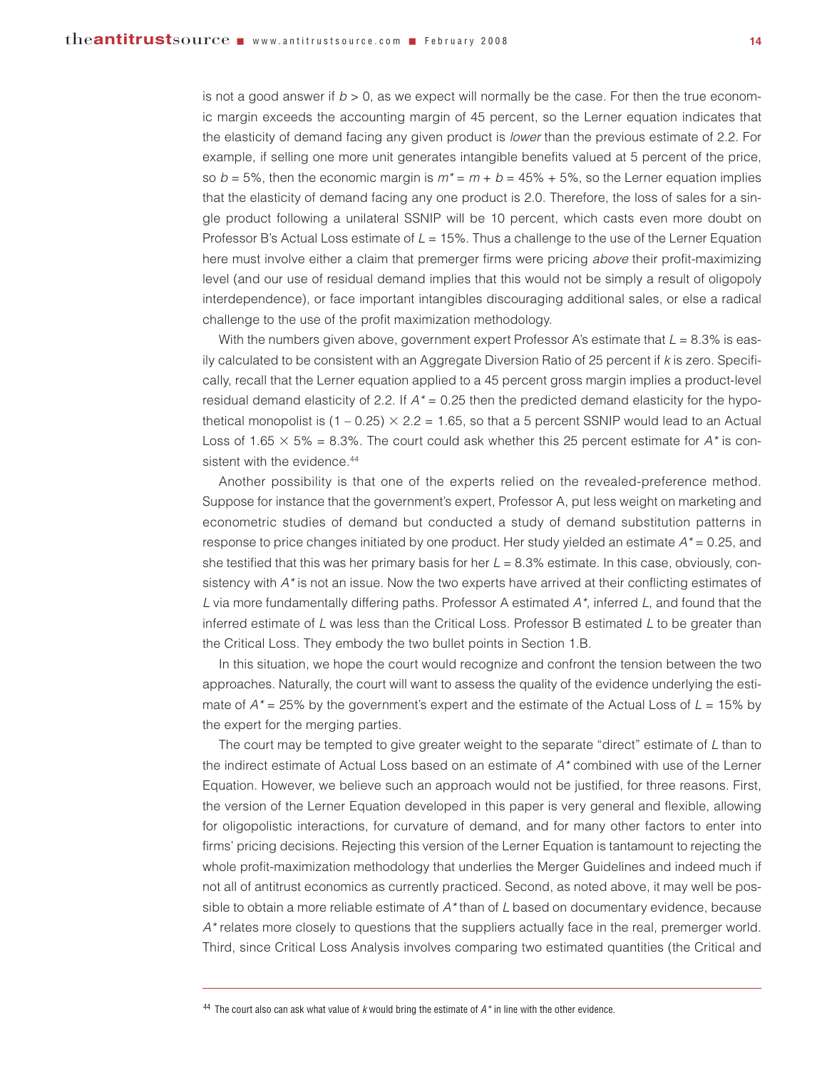is not a good answer if  $b > 0$ , as we expect will normally be the case. For then the true economic margin exceeds the accounting margin of 45 percent, so the Lerner equation indicates that the elasticity of demand facing any given product is *lower* than the previous estimate of 2.2. For example, if selling one more unit generates intangible benefits valued at 5 percent of the price, so  $b = 5\%$ , then the economic margin is  $m^* = m + b = 45\% + 5\%$ , so the Lerner equation implies that the elasticity of demand facing any one product is 2.0. Therefore, the loss of sales for a single product following a unilateral SSNIP will be 10 percent, which casts even more doubt on Professor B's Actual Loss estimate of *L* = 15%. Thus a challenge to the use of the Lerner Equation here must involve either a claim that premerger firms were pricing *above* their profit-maximizing level (and our use of residual demand implies that this would not be simply a result of oligopoly interdependence), or face important intangibles discouraging additional sales, or else a radical challenge to the use of the profit maximization methodology.

With the numbers given above, government expert Professor A's estimate that  $L = 8.3\%$  is easily calculated to be consistent with an Aggregate Diversion Ratio of 25 percent if *k* is zero. Specifically, recall that the Lerner equation applied to a 45 percent gross margin implies a product-level residual demand elasticity of 2.2. If *A\** = 0.25 then the predicted demand elasticity for the hypothetical monopolist is (1 – 0.25)  $\times$  2.2 = 1.65, so that a 5 percent SSNIP would lead to an Actual Loss of 1.65  $\times$  5% = 8.3%. The court could ask whether this 25 percent estimate for  $A^*$  is consistent with the evidence.<sup>44</sup>

Another possibility is that one of the experts relied on the revealed-preference method. Suppose for instance that the government's expert, Professor A, put less weight on marketing and econometric studies of demand but conducted a study of demand substitution patterns in response to price changes initiated by one product. Her study yielded an estimate *A\** = 0.25, and she testified that this was her primary basis for her *L* = 8.3% estimate. In this case, obviously, consistency with *A\** is not an issue. Now the two experts have arrived at their conflicting estimates of *L* via more fundamentally differing paths. Professor A estimated *A\**, inferred *L*, and found that the inferred estimate of *L* was less than the Critical Loss. Professor B estimated *L* to be greater than the Critical Loss. They embody the two bullet points in Section 1.B.

In this situation, we hope the court would recognize and confront the tension between the two approaches. Naturally, the court will want to assess the quality of the evidence underlying the estimate of  $A^*$  = 25% by the government's expert and the estimate of the Actual Loss of  $L = 15\%$  by the expert for the merging parties.

The court may be tempted to give greater weight to the separate "direct" estimate of *L* than to the indirect estimate of Actual Loss based on an estimate of *A\** combined with use of the Lerner Equation. However, we believe such an approach would not be justified, for three reasons. First, the version of the Lerner Equation developed in this paper is very general and flexible, allowing for oligopolistic interactions, for curvature of demand, and for many other factors to enter into firms' pricing decisions. Rejecting this version of the Lerner Equation is tantamount to rejecting the whole profit-maximization methodology that underlies the Merger Guidelines and indeed much if not all of antitrust economics as currently practiced. Second, as noted above, it may well be possible to obtain a more reliable estimate of *A\** than of *L* based on documentary evidence, because *A\** relates more closely to questions that the suppliers actually face in the real, premerger world. Third, since Critical Loss Analysis involves comparing two estimated quantities (the Critical and

<sup>44</sup> The court also can ask what value of *k* would bring the estimate of *A\** in line with the other evidence.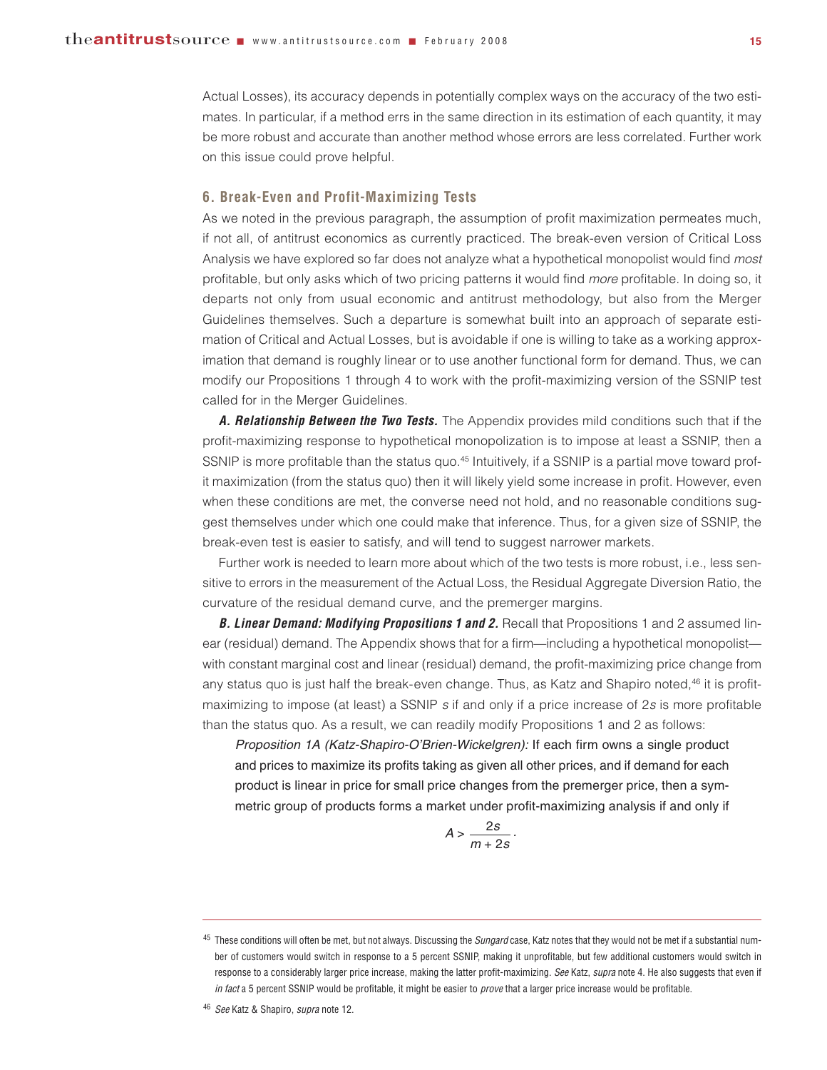Actual Losses), its accuracy depends in potentially complex ways on the accuracy of the two estimates. In particular, if a method errs in the same direction in its estimation of each quantity, it may be more robust and accurate than another method whose errors are less correlated. Further work on this issue could prove helpful.

#### **6. Break-Even and Profit-Maximizing Tests**

As we noted in the previous paragraph, the assumption of profit maximization permeates much, if not all, of antitrust economics as currently practiced. The break-even version of Critical Loss Analysis we have explored so far does not analyze what a hypothetical monopolist would find *most* profitable, but only asks which of two pricing patterns it would find *more* profitable. In doing so, it departs not only from usual economic and antitrust methodology, but also from the Merger Guidelines themselves. Such a departure is somewhat built into an approach of separate estimation of Critical and Actual Losses, but is avoidable if one is willing to take as a working approximation that demand is roughly linear or to use another functional form for demand. Thus, we can modify our Propositions 1 through 4 to work with the profit-maximizing version of the SSNIP test called for in the Merger Guidelines.

*A. Relationship Between the Two Tests.* The Appendix provides mild conditions such that if the profit-maximizing response to hypothetical monopolization is to impose at least a SSNIP, then a SSNIP is more profitable than the status quo.<sup>45</sup> Intuitively, if a SSNIP is a partial move toward profit maximization (from the status quo) then it will likely yield some increase in profit. However, even when these conditions are met, the converse need not hold, and no reasonable conditions suggest themselves under which one could make that inference. Thus, for a given size of SSNIP, the break-even test is easier to satisfy, and will tend to suggest narrower markets.

Further work is needed to learn more about which of the two tests is more robust, i.e., less sensitive to errors in the measurement of the Actual Loss, the Residual Aggregate Diversion Ratio, the curvature of the residual demand curve, and the premerger margins.

*B. Linear Demand: Modifying Propositions 1 and 2.* Recall that Propositions 1 and 2 assumed linear (residual) demand. The Appendix shows that for a firm—including a hypothetical monopolist with constant marginal cost and linear (residual) demand, the profit-maximizing price change from any status quo is just half the break-even change. Thus, as Katz and Shapiro noted,<sup>46</sup> it is profitmaximizing to impose (at least) a SSNIP *s* if and only if a price increase of 2*s* is more profitable than the status quo. As a result, we can readily modify Propositions 1 and 2 as follows:

*Proposition 1A (Katz-Shapiro-O'Brien-Wickelgren):* If each firm owns a single product and prices to maximize its profits taking as given all other prices, and if demand for each product is linear in price for small price changes from the premerger price, then a symmetric group of products forms a market under profit-maximizing analysis if and only if

$$
A>\frac{2s}{m+2s}.
$$

<sup>46</sup> *See* Katz & Shapiro, *supra* note 12.

<sup>45</sup> These conditions will often be met, but not always. Discussing the *Sungard* case, Katz notes that they would not be met if a substantial number of customers would switch in response to a 5 percent SSNIP, making it unprofitable, but few additional customers would switch in response to a considerably larger price increase, making the latter profit-maximizing. *See* Katz, *supra* note 4. He also suggests that even if *in fact* a 5 percent SSNIP would be profitable, it might be easier to *prove* that a larger price increase would be profitable.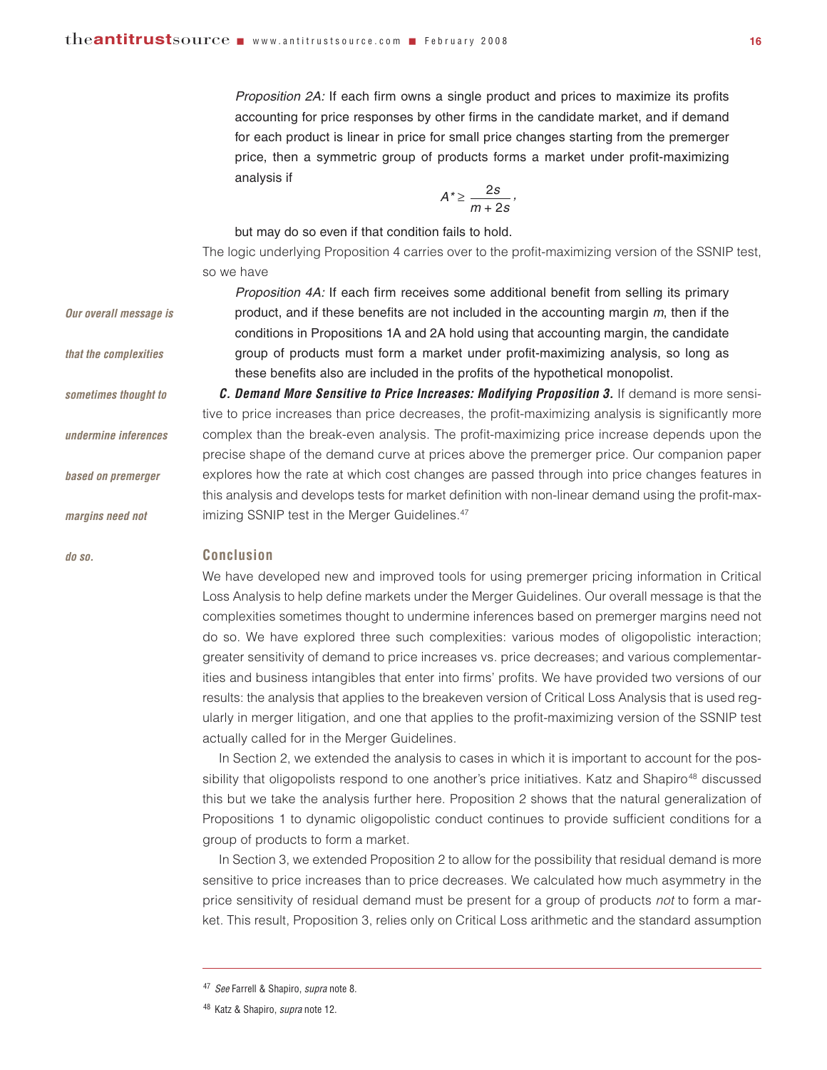*Proposition 2A:* If each firm owns a single product and prices to maximize its profits accounting for price responses by other firms in the candidate market, and if demand for each product is linear in price for small price changes starting from the premerger price, then a symmetric group of products forms a market under profit-maximizing analysis if

$$
A^*\!\geq\frac{2s}{m+2s}\,,
$$

but may do so even if that condition fails to hold.

The logic underlying Proposition 4 carries over to the profit-maximizing version of the SSNIP test, so we have

*Proposition 4A:* If each firm receives some additional benefit from selling its primary product, and if these benefits are not included in the accounting margin *m*, then if the conditions in Propositions 1A and 2A hold using that accounting margin, the candidate group of products must form a market under profit-maximizing analysis, so long as these benefits also are included in the profits of the hypothetical monopolist. *C. Demand More Sensitive to Price Increases: Modifying Proposition 3.* If demand is more sensitive to price increases than price decreases, the profit-maximizing analysis is significantly more complex than the break-even analysis. The profit-maximizing price increase depends upon the precise shape of the demand curve at prices above the premerger price. Our companion paper explores how the rate at which cost changes are passed through into price changes features in this analysis and develops tests for market definition with non-linear demand using the profit-maximizing SSNIP test in the Merger Guidelines.<sup>47</sup> *Our overall message is that the complexities sometimes thought to undermine inferences based on premerger margins need not* 

#### **Conclusion**

*do so.* 

We have developed new and improved tools for using premerger pricing information in Critical Loss Analysis to help define markets under the Merger Guidelines. Our overall message is that the complexities sometimes thought to undermine inferences based on premerger margins need not do so. We have explored three such complexities: various modes of oligopolistic interaction; greater sensitivity of demand to price increases vs. price decreases; and various complementarities and business intangibles that enter into firms' profits. We have provided two versions of our results: the analysis that applies to the breakeven version of Critical Loss Analysis that is used regularly in merger litigation, and one that applies to the profit-maximizing version of the SSNIP test actually called for in the Merger Guidelines.

In Section 2, we extended the analysis to cases in which it is important to account for the possibility that oligopolists respond to one another's price initiatives. Katz and Shapiro<sup>48</sup> discussed this but we take the analysis further here. Proposition 2 shows that the natural generalization of Propositions 1 to dynamic oligopolistic conduct continues to provide sufficient conditions for a group of products to form a market.

In Section 3, we extended Proposition 2 to allow for the possibility that residual demand is more sensitive to price increases than to price decreases. We calculated how much asymmetry in the price sensitivity of residual demand must be present for a group of products *not* to form a market. This result, Proposition 3, relies only on Critical Loss arithmetic and the standard assumption

<sup>47</sup> *See* Farrell & Shapiro, *supra* note 8.

<sup>48</sup> Katz & Shapiro, *supra* note 12.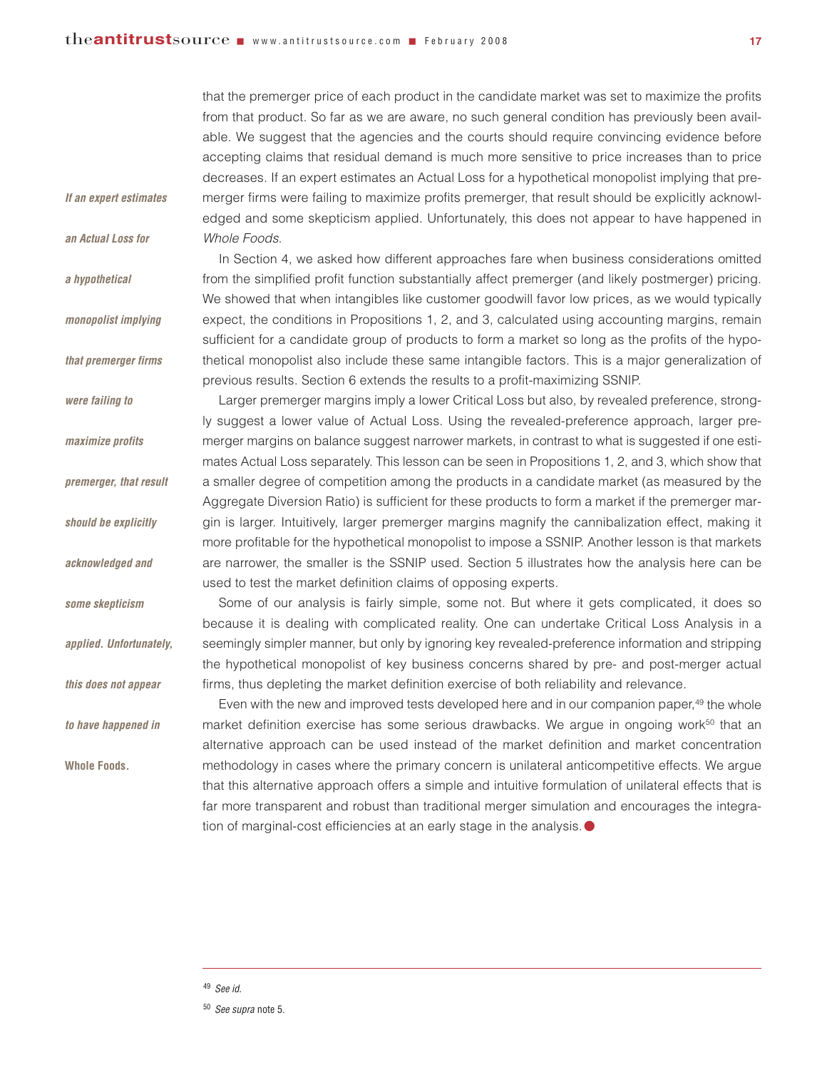*If an expert estimates*

*an Actual Loss for* 

*monopolist implying*

*that premerger firms*

*were failing to* 

*maximize profits* 

*premerger, that result*

*should be explicitly*

*acknowledged and*

*some skepticism*

*applied. Unfortunately,*

*this does not appear* 

*to have happened in*

**Whole Foods***.*

*a hypothetical* 

that the premerger price of each product in the candidate market was set to maximize the profits from that product. So far as we are aware, no such general condition has previously been available. We suggest that the agencies and the courts should require convincing evidence before accepting claims that residual demand is much more sensitive to price increases than to price decreases. If an expert estimates an Actual Loss for a hypothetical monopolist implying that premerger firms were failing to maximize profits premerger, that result should be explicitly acknowledged and some skepticism applied. Unfortunately, this does not appear to have happened in *Whole Foods*.

In Section 4, we asked how different approaches fare when business considerations omitted from the simplified profit function substantially affect premerger (and likely postmerger) pricing. We showed that when intangibles like customer goodwill favor low prices, as we would typically expect, the conditions in Propositions 1, 2, and 3, calculated using accounting margins, remain sufficient for a candidate group of products to form a market so long as the profits of the hypothetical monopolist also include these same intangible factors. This is a major generalization of previous results. Section 6 extends the results to a profit-maximizing SSNIP.

Larger premerger margins imply a lower Critical Loss but also, by revealed preference, strongly suggest a lower value of Actual Loss. Using the revealed-preference approach, larger premerger margins on balance suggest narrower markets, in contrast to what is suggested if one estimates Actual Loss separately. This lesson can be seen in Propositions 1, 2, and 3, which show that a smaller degree of competition among the products in a candidate market (as measured by the Aggregate Diversion Ratio) is sufficient for these products to form a market if the premerger margin is larger. Intuitively, larger premerger margins magnify the cannibalization effect, making it more profitable for the hypothetical monopolist to impose a SSNIP. Another lesson is that markets are narrower, the smaller is the SSNIP used. Section 5 illustrates how the analysis here can be used to test the market definition claims of opposing experts.

Some of our analysis is fairly simple, some not. But where it gets complicated, it does so because it is dealing with complicated reality. One can undertake Critical Loss Analysis in a seemingly simpler manner, but only by ignoring key revealed-preference information and stripping the hypothetical monopolist of key business concerns shared by pre- and post-merger actual firms, thus depleting the market definition exercise of both reliability and relevance.

Even with the new and improved tests developed here and in our companion paper,<sup>49</sup> the whole market definition exercise has some serious drawbacks. We argue in ongoing work<sup>50</sup> that an alternative approach can be used instead of the market definition and market concentration methodology in cases where the primary concern is unilateral anticompetitive effects. We argue that this alternative approach offers a simple and intuitive formulation of unilateral effects that is far more transparent and robust than traditional merger simulation and encourages the integration of marginal-cost efficiencies at an early stage in the analysis.  $\bullet$ 

<sup>49</sup> *See id.*

<sup>50</sup> *See supra* note 5.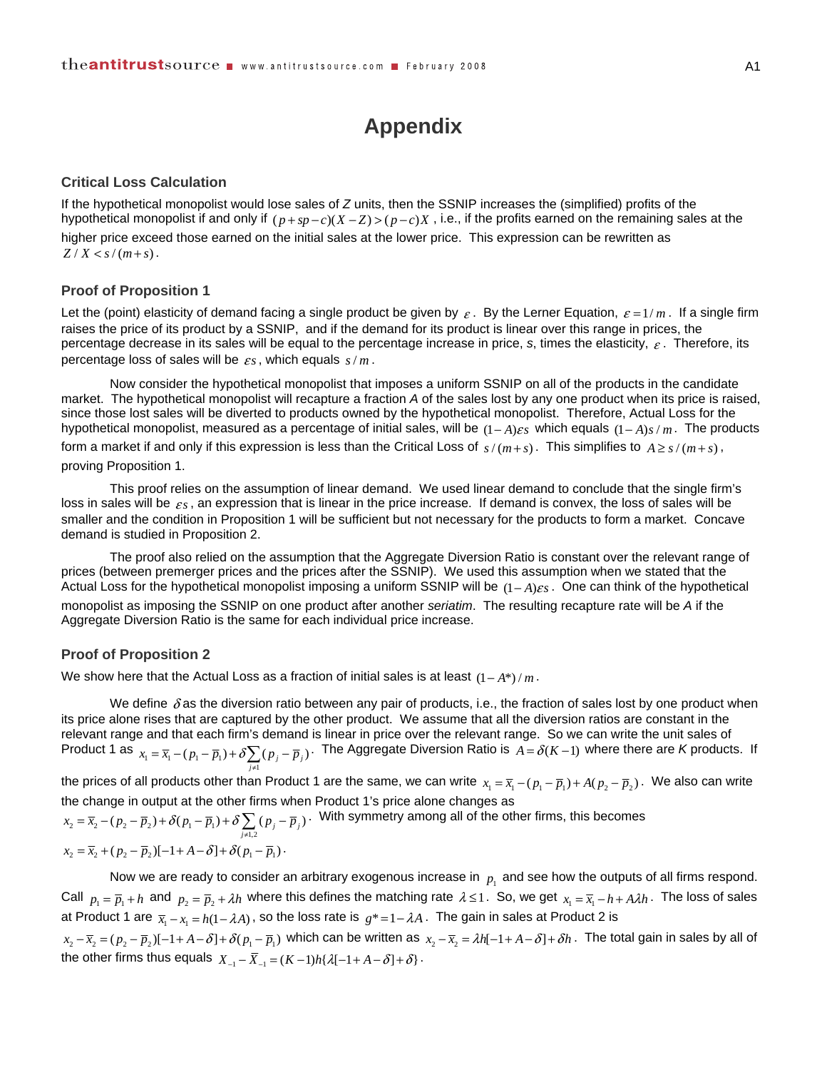### **Appendix**

#### **Critical Loss Calculation**

If the hypothetical monopolist would lose sales of *Z* units, then the SSNIP increases the (simplified) profits of the hypothetical monopolist if and only if  $(p + sp - c)(X - Z) > (p - c)X$ , i.e., if the profits earned on the remaining sales at the higher price exceed those earned on the initial sales at the lower price. This expression can be rewritten as  $Z/X < s/(m+s)$ .

#### **Proof of Proposition 1**

Let the (point) elasticity of demand facing a single product be given by  $\varepsilon$ . By the Lerner Equation,  $\varepsilon = 1/m$ . If a single firm raises the price of its product by a SSNIP, and if the demand for its product is linear over this range in prices, the percentage decrease in its sales will be equal to the percentage increase in price, *s*, times the elasticity, <sup>ε</sup> . Therefore, its percentage loss of sales will be  $\varepsilon s$ , which equals  $s/m$ .

 Now consider the hypothetical monopolist that imposes a uniform SSNIP on all of the products in the candidate market. The hypothetical monopolist will recapture a fraction *A* of the sales lost by any one product when its price is raised, since those lost sales will be diverted to products owned by the hypothetical monopolist. Therefore, Actual Loss for the hypothetical monopolist, measured as a percentage of initial sales, will be  $(1 - A)\varepsilon_s$  which equals  $(1 - A)\varepsilon/m$ . The products

form a market if and only if this expression is less than the Critical Loss of  $s/(m+s)$ . This simplifies to  $A \ge s/(m+s)$ , proving Proposition 1.

 This proof relies on the assumption of linear demand. We used linear demand to conclude that the single firm's loss in sales will be  $\varepsilon_s$ , an expression that is linear in the price increase. If demand is convex, the loss of sales will be smaller and the condition in Proposition 1 will be sufficient but not necessary for the products to form a market. Concave demand is studied in Proposition 2.

 The proof also relied on the assumption that the Aggregate Diversion Ratio is constant over the relevant range of prices (between premerger prices and the prices after the SSNIP). We used this assumption when we stated that the Actual Loss for the hypothetical monopolist imposing a uniform SSNIP will be  $(1 - A)\varepsilon s$ . One can think of the hypothetical monopolist as imposing the SSNIP on one product after another *seriatim*. The resulting recapture rate will be *A* if the Aggregate Diversion Ratio is the same for each individual price increase.

#### **Proof of Proposition 2**

We show here that the Actual Loss as a fraction of initial sales is at least  $(1 - A^*) / m$ .

We define  $\delta$  as the diversion ratio between any pair of products, i.e., the fraction of sales lost by one product when its price alone rises that are captured by the other product. We assume that all the diversion ratios are constant in the relevant range and that each firm's demand is linear in price over the relevant range. So we can write the unit sales of Product 1 as  $x_1 = \overline{x}_1 - (p_1 - \overline{p}_1) + \delta \sum_{j \neq 1} (p_j - \overline{p}_j)$  $x_1 = \overline{x}_1 - (p_1 - \overline{p}_1) + \delta$   $\sum (p_i - \overline{p}_1)$  $=\overline{x}_i-(p_i-\overline{p}_i)+\delta\sum_{j\neq 1}(p_j-\overline{p}_j)$ . The Aggregate Diversion Ratio is  $A=\delta(K-1)$  where there are *K* products. If

the prices of all products other than Product 1 are the same, we can write  $x_1 = \overline{x}_1 - (p_1 - \overline{p}_1) + A(p_2 - \overline{p}_2)$ . We also can write the change in output at the other firms when Product 1's price alone changes as

 $\sum_{j=2}^{n}$  =  $\overline{x}_{2}$  -  $(p_{2} - \overline{p}_{2}) + \delta(p_{1} - \overline{p}_{1}) + \delta \sum_{j\neq 1,2} (p_{j} - \overline{p}_{j})$  $x_2 = \overline{x}_2 - (p_2 - \overline{p}_2) + \delta(p_1 - \overline{p}_1) + \delta \sum (p_i - \overline{p}_1)$  $=\overline{x}_{2}-(p_{2}-\overline{p}_{2})+\delta(p_{1}-\overline{p}_{1})+\delta\sum_{j\neq 1,2}(p_{j}-\overline{p}_{j})$ . With symmetry among all of the other firms, this becomes

$$
x_2 = \overline{x}_2 + (p_2 - \overline{p}_2)[-1 + A - \delta] + \delta(p_1 - \overline{p}_1).
$$

Now we are ready to consider an arbitrary exogenous increase in  $p<sub>i</sub>$  and see how the outputs of all firms respond. Call  $p_1 = \overline{p}_1 + h$  and  $p_2 = \overline{p}_2 + \lambda h$  where this defines the matching rate  $\lambda \le 1$ . So, we get  $x_1 = \overline{x}_1 - h + A\lambda h$ . The loss of sales at Product 1 are  $\bar{x}_1 - x_1 = h(1 - \lambda A)$ , so the loss rate is  $g^* = 1 - \lambda A$ . The gain in sales at Product 2 is

 $x_2 - \overline{x}_3 = (p_2 - \overline{p}_2)[-1 + A - \delta] + \delta(p_1 - \overline{p}_1)$  which can be written as  $x_2 - \overline{x}_3 = \lambda h[-1 + A - \delta] + \delta h$ . The total gain in sales by all of the other firms thus equals  $X_{-1} - \overline{X}_{-1} = (K - 1) h \{ \lambda [-1 + A - \delta] + \delta \}.$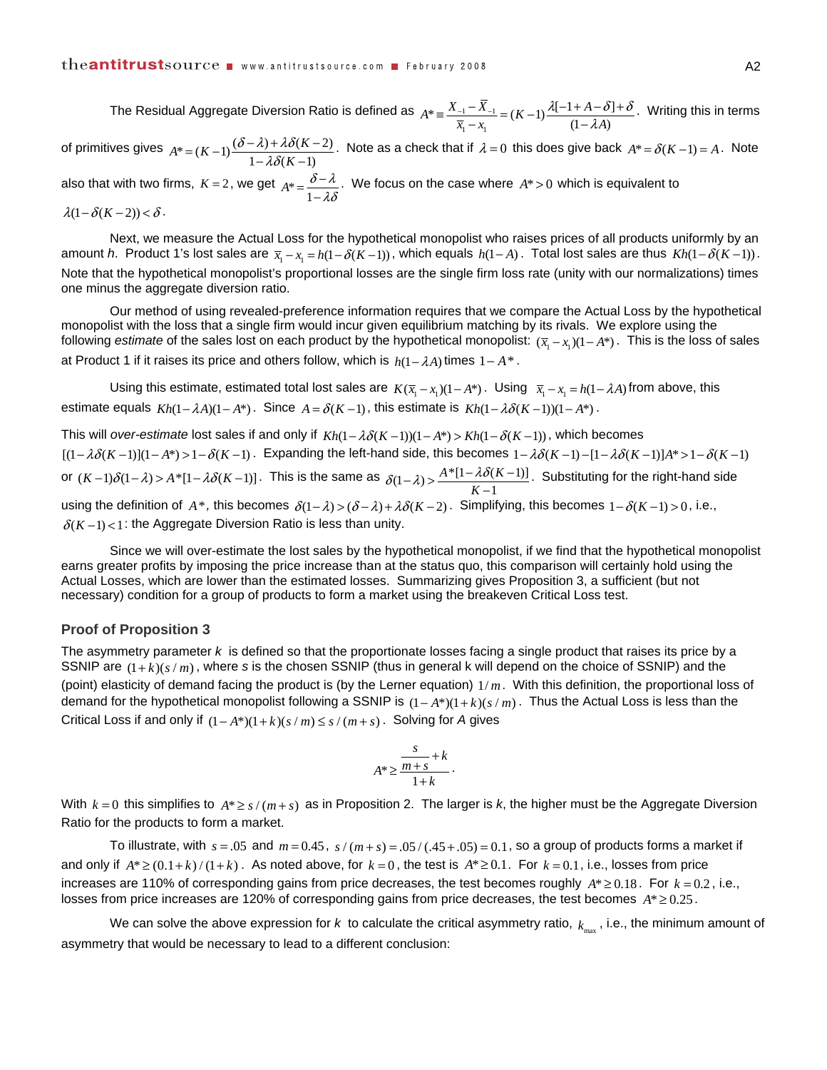The Residual Aggregate Diversion Ratio is defined as  $A^* = \frac{X_{-1} - X_{-1}}{X_{-1}}$  $A^* \equiv \frac{X_{-1} - \overline{X}_{-1}}{\overline{x}_1 - x_1} = (K - 1) \frac{\lambda [-1 + A - \delta]}{(1 - \lambda A)}$  $\lambda$ [-1+A- $\delta$ ]+ $\delta$  $\equiv \frac{X_{-1} - X_{-1}}{\overline{x}_1 - x_1}$  =  $(K-1) \frac{\lambda[-1 + A - \delta] + \delta}{(1 - \lambda A)}$ . Writing this in terms

of primitives gives  $A^* = (K-1) \frac{(\delta - \lambda) + \lambda \delta(K-2)}{1 - \lambda \delta(K-1)}$  $(\delta - \lambda) + \lambda \delta$  $=(K-1)\frac{(\delta-\lambda)+\lambda\delta(K-2)}{1-\lambda\delta(K-1)}$ . Note as a check that if  $\lambda = 0$  this does give back  $A^* = \delta(K-1) = A$ . Note also that with two firms,  $K = 2$ , we get  $A^* = \frac{\delta - \lambda}{1 - \lambda \delta}$ . We focus on the case where  $A^* > 0$  which is equivalent to  $\lambda(1 - \delta(K - 2)) < \delta$ .

 Next, we measure the Actual Loss for the hypothetical monopolist who raises prices of all products uniformly by an amount *h*. Product 1's lost sales are  $\bar{x}_i - x_i = h(1 - \delta(K - 1))$ , which equals  $h(1 - A)$ . Total lost sales are thus  $Kh(1 - \delta(K - 1))$ . Note that the hypothetical monopolist's proportional losses are the single firm loss rate (unity with our normalizations) times one minus the aggregate diversion ratio.

 Our method of using revealed-preference information requires that we compare the Actual Loss by the hypothetical monopolist with the loss that a single firm would incur given equilibrium matching by its rivals. We explore using the following *estimate* of the sales lost on each product by the hypothetical monopolist:  $(\bar{x}_i - x_i)(1 - A^*)$ . This is the loss of sales at Product 1 if it raises its price and others follow, which is  $h(1 - \lambda A)$  times  $1 - A^*$ .

Using this estimate, estimated total lost sales are  $K(\bar{x}_1 - x_1)(1 - A^*)$ . Using  $\bar{x}_1 - x_1 = h(1 - \lambda A)$  from above, this estimate equals  $Kh(1 - \lambda A)(1 - A^*)$ . Since  $A = \delta(K-1)$ , this estimate is  $Kh(1 - \lambda \delta(K-1))(1 - A^*)$ .

This will *over-estimate* lost sales if and only if  $Kh(1 - \lambda \delta(K-1))(1 - A^*) > Kh(1 - \delta(K-1))$ , which becomes  $[(1 - \lambda \delta(K-1))](1 - A^*) > 1 - \delta(K-1)$ . Expanding the left-hand side, this becomes  $1 - \lambda \delta(K-1) - [1 - \lambda \delta(K-1)]A^* > 1 - \delta(K-1)$ or  $(K-1)\delta(1-\lambda) > A^* [1 - \lambda \delta(K-1)]$ . This is the same as  $\delta(1-\lambda) > \frac{A^* [1 - \lambda \delta(K-1)]}{K-1}$  $\delta(1-\lambda) > \frac{A^*[1-\lambda\delta(K-1)]}{K-1}$ . Substituting for the right-hand side using the definition of  $A^*$ , this becomes  $\delta(1-\lambda) > (\delta-\lambda) + \lambda \delta(K-2)$ . Simplifying, this becomes  $1-\delta(K-1) > 0$ , i.e.,  $\delta(K-1)$  < 1: the Aggregate Diversion Ratio is less than unity.

 Since we will over-estimate the lost sales by the hypothetical monopolist, if we find that the hypothetical monopolist earns greater profits by imposing the price increase than at the status quo, this comparison will certainly hold using the Actual Losses, which are lower than the estimated losses. Summarizing gives Proposition 3, a sufficient (but not necessary) condition for a group of products to form a market using the breakeven Critical Loss test.

#### **Proof of Proposition 3**

The asymmetry parameter *k* is defined so that the proportionate losses facing a single product that raises its price by a SSNIP are  $(1 + k)(s/m)$ , where *s* is the chosen SSNIP (thus in general k will depend on the choice of SSNIP) and the (point) elasticity of demand facing the product is (by the Lerner equation) 1/ *m*. With this definition, the proportional loss of demand for the hypothetical monopolist following a SSNIP is  $(1 - A^*)(1 + k)(s/m)$ . Thus the Actual Loss is less than the Critical Loss if and only if  $(1 - A^*)(1 + k)(s/m) \le s/(m+s)$ . Solving for *A* gives

$$
A^* \ge \frac{\frac{s}{m+s} + k}{1+k}.
$$

With  $k = 0$  this simplifies to  $A^* \ge s / (m+s)$  as in Proposition 2. The larger is k, the higher must be the Aggregate Diversion Ratio for the products to form a market.

To illustrate, with  $s = .05$  and  $m = 0.45$ ,  $s/(m+s) = .05/(0.45 + .05) = 0.1$ , so a group of products forms a market if and only if  $A^* \geq (0.1 + k)/(1 + k)$ . As noted above, for  $k = 0$ , the test is  $A^* \geq 0.1$ . For  $k = 0.1$ , i.e., losses from price increases are 110% of corresponding gains from price decreases, the test becomes roughly  $A^* \ge 0.18$ . For  $k = 0.2$ , i.e., losses from price increases are 120% of corresponding gains from price decreases, the test becomes  $A^* \geq 0.25$ .

We can solve the above expression for  $k$  to calculate the critical asymmetry ratio,  $k_{\text{max}}$ , i.e., the minimum amount of asymmetry that would be necessary to lead to a different conclusion: